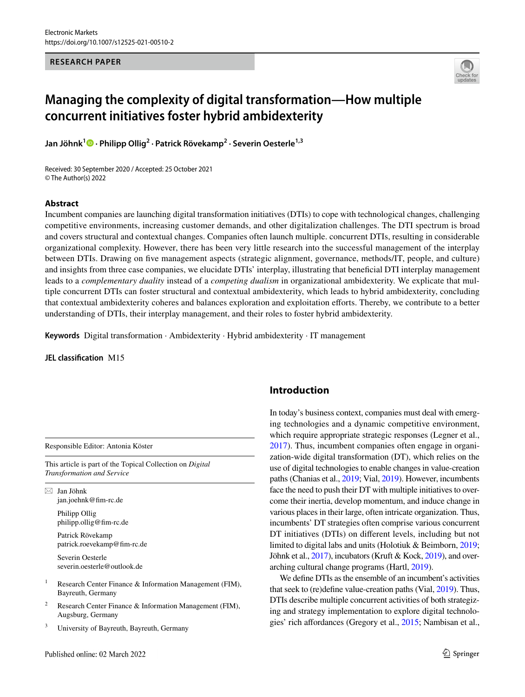#### **RESEARCH PAPER**



# **Managing the complexity of digital transformation—How multiple concurrent initiatives foster hybrid ambidexterity**

**Jan Jöhnk[1](http://orcid.org/0000-0002-9799-2557) · Philipp Ollig2 · Patrick Rövekamp<sup>2</sup> · Severin Oesterle1,3**

Received: 30 September 2020 / Accepted: 25 October 2021 © The Author(s) 2022

#### **Abstract**

Incumbent companies are launching digital transformation initiatives (DTIs) to cope with technological changes, challenging competitive environments, increasing customer demands, and other digitalization challenges. The DTI spectrum is broad and covers structural and contextual changes. Companies often launch multiple. concurrent DTIs, resulting in considerable organizational complexity. However, there has been very little research into the successful management of the interplay between DTIs. Drawing on five management aspects (strategic alignment, governance, methods/IT, people, and culture) and insights from three case companies, we elucidate DTIs' interplay, illustrating that benefcial DTI interplay management leads to a *complementary duality* instead of a *competing dualism* in organizational ambidexterity. We explicate that multiple concurrent DTIs can foster structural and contextual ambidexterity, which leads to hybrid ambidexterity, concluding that contextual ambidexterity coheres and balances exploration and exploitation eforts. Thereby, we contribute to a better understanding of DTIs, their interplay management, and their roles to foster hybrid ambidexterity.

**Keywords** Digital transformation · Ambidexterity · Hybrid ambidexterity · IT management

#### **JEL classifcation** M15

Responsible Editor: Antonia Köster

This article is part of the Topical Collection on *Digital Transformation and Service*

 $\boxtimes$  Jan Jöhnk jan.joehnk@fm-rc.de

> Philipp Ollig philipp.ollig@fm-rc.de

Patrick Rövekamp patrick.roevekamp@fm-rc.de

Severin Oesterle severin.oesterle@outlook.de

- <sup>1</sup> Research Center Finance & Information Management (FIM), Bayreuth, Germany
- <sup>2</sup> Research Center Finance & Information Management (FIM), Augsburg, Germany
- University of Bayreuth, Bayreuth, Germany

### **Introduction**

In today's business context, companies must deal with emerging technologies and a dynamic competitive environment, which require appropriate strategic responses (Legner et al., [2017](#page-20-0)). Thus, incumbent companies often engage in organization-wide digital transformation (DT), which relies on the use of digital technologies to enable changes in value-creation paths (Chanias et al., [2019;](#page-19-0) Vial, [2019\)](#page-21-0). However, incumbents face the need to push their DT with multiple initiatives to overcome their inertia, develop momentum, and induce change in various places in their large, often intricate organization. Thus, incumbents' DT strategies often comprise various concurrent DT initiatives (DTIs) on diferent levels, including but not limited to digital labs and units (Holotiuk & Beimborn, [2019](#page-20-1); Jöhnk et al., [2017](#page-20-2)), incubators (Kruft & Kock, [2019](#page-20-3)), and overarching cultural change programs (Hartl, [2019](#page-20-4)).

We defne DTIs as the ensemble of an incumbent's activities that seek to (re)defne value-creation paths (Vial, [2019\)](#page-21-0). Thus, DTIs describe multiple concurrent activities of both strategizing and strategy implementation to explore digital technologies' rich afordances (Gregory et al., [2015](#page-19-1); Nambisan et al.,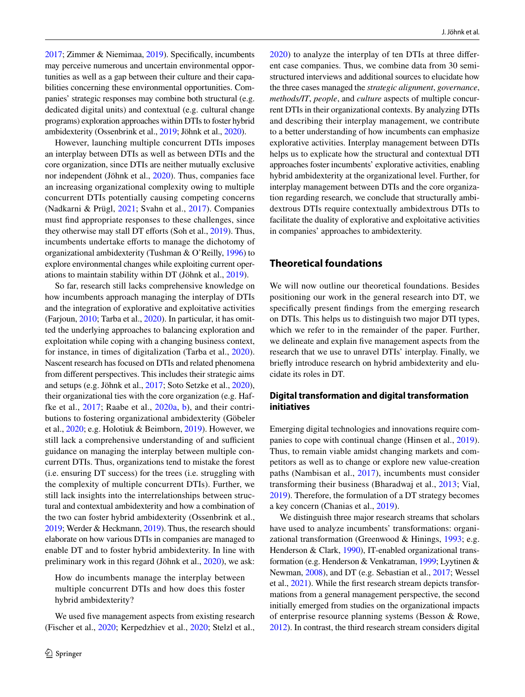[2017;](#page-20-5) Zimmer & Niemimaa, [2019](#page-22-0)). Specifcally, incumbents may perceive numerous and uncertain environmental opportunities as well as a gap between their culture and their capabilities concerning these environmental opportunities. Companies' strategic responses may combine both structural (e.g. dedicated digital units) and contextual (e.g. cultural change programs) exploration approaches within DTIs to foster hybrid ambidexterity (Ossenbrink et al., [2019;](#page-20-6) Jöhnk et al., [2020](#page-20-7)).

However, launching multiple concurrent DTIs imposes an interplay between DTIs as well as between DTIs and the core organization, since DTIs are neither mutually exclusive nor independent (Jöhnk et al., [2020](#page-20-7)). Thus, companies face an increasing organizational complexity owing to multiple concurrent DTIs potentially causing competing concerns (Nadkarni & Prügl, [2021](#page-20-8); Svahn et al., [2017](#page-21-1)). Companies must fnd appropriate responses to these challenges, since they otherwise may stall DT efforts (Soh et al., [2019\)](#page-21-2). Thus, incumbents undertake efforts to manage the dichotomy of organizational ambidexterity (Tushman & O'Reilly, [1996](#page-21-3)) to explore environmental changes while exploiting current operations to maintain stability within DT (Jöhnk et al., [2019\)](#page-20-9).

So far, research still lacks comprehensive knowledge on how incumbents approach managing the interplay of DTIs and the integration of explorative and exploitative activities (Farjoun, [2010;](#page-19-2) Tarba et al., [2020](#page-21-4)). In particular, it has omitted the underlying approaches to balancing exploration and exploitation while coping with a changing business context, for instance, in times of digitalization (Tarba et al., [2020](#page-21-4)). Nascent research has focused on DTIs and related phenomena from diferent perspectives. This includes their strategic aims and setups (e.g. Jöhnk et al., [2017](#page-20-2); Soto Setzke et al., [2020](#page-21-5)), their organizational ties with the core organization (e.g. Haffke et al., [2017](#page-19-3); Raabe et al., [2020a,](#page-21-6) [b\)](#page-21-7), and their contributions to fostering organizational ambidexterity (Göbeler et al., [2020;](#page-19-4) e.g. Holotiuk & Beimborn, [2019](#page-20-1)). However, we still lack a comprehensive understanding of and sufficient guidance on managing the interplay between multiple concurrent DTIs. Thus, organizations tend to mistake the forest (i.e. ensuring DT success) for the trees (i.e. struggling with the complexity of multiple concurrent DTIs). Further, we still lack insights into the interrelationships between structural and contextual ambidexterity and how a combination of the two can foster hybrid ambidexterity (Ossenbrink et al., [2019;](#page-20-6) Werder & Heckmann, [2019\)](#page-21-8). Thus, the research should elaborate on how various DTIs in companies are managed to enable DT and to foster hybrid ambidexterity. In line with preliminary work in this regard (Jöhnk et al., [2020](#page-20-7)), we ask:

How do incumbents manage the interplay between multiple concurrent DTIs and how does this foster hybrid ambidexterity?

We used fve management aspects from existing research (Fischer et al., [2020](#page-19-5); Kerpedzhiev et al., [2020;](#page-20-10) Stelzl et al.,

[2020\)](#page-21-9) to analyze the interplay of ten DTIs at three diferent case companies. Thus, we combine data from 30 semistructured interviews and additional sources to elucidate how the three cases managed the *strategic alignment*, *governance*, *methods/IT*, *people*, and *culture* aspects of multiple concurrent DTIs in their organizational contexts. By analyzing DTIs and describing their interplay management, we contribute to a better understanding of how incumbents can emphasize explorative activities. Interplay management between DTIs helps us to explicate how the structural and contextual DTI approaches foster incumbents' explorative activities, enabling hybrid ambidexterity at the organizational level. Further, for interplay management between DTIs and the core organization regarding research, we conclude that structurally ambidextrous DTIs require contextually ambidextrous DTIs to facilitate the duality of explorative and exploitative activities in companies' approaches to ambidexterity.

### **Theoretical foundations**

We will now outline our theoretical foundations. Besides positioning our work in the general research into DT, we specifcally present fndings from the emerging research on DTIs. This helps us to distinguish two major DTI types, which we refer to in the remainder of the paper. Further, we delineate and explain fve management aspects from the research that we use to unravel DTIs' interplay. Finally, we briefy introduce research on hybrid ambidexterity and elucidate its roles in DT.

### <span id="page-1-0"></span>**Digital transformation and digital transformation initiatives**

Emerging digital technologies and innovations require companies to cope with continual change (Hinsen et al., [2019](#page-20-11)). Thus, to remain viable amidst changing markets and competitors as well as to change or explore new value-creation paths (Nambisan et al., [2017](#page-20-5)), incumbents must consider transforming their business (Bharadwaj et al., [2013](#page-19-6); Vial, [2019](#page-21-0)). Therefore, the formulation of a DT strategy becomes a key concern (Chanias et al., [2019](#page-19-0)).

We distinguish three major research streams that scholars have used to analyze incumbents' transformations: organizational transformation (Greenwood & Hinings, [1993](#page-19-7); e.g. Henderson & Clark, [1990\)](#page-20-12), IT-enabled organizational transformation (e.g. Henderson & Venkatraman, [1999;](#page-20-13) Lyytinen & Newman, [2008](#page-20-14)), and DT (e.g. Sebastian et al., [2017](#page-21-10); Wessel et al., [2021\)](#page-21-11). While the frst research stream depicts transformations from a general management perspective, the second initially emerged from studies on the organizational impacts of enterprise resource planning systems (Besson & Rowe, [2012\)](#page-19-8). In contrast, the third research stream considers digital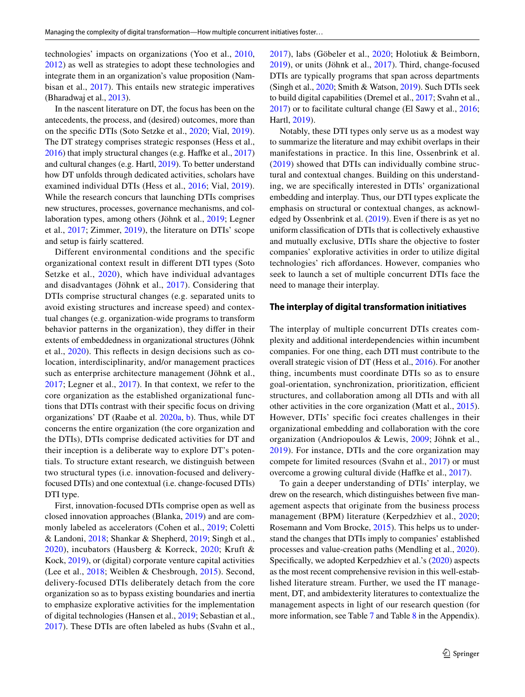technologies' impacts on organizations (Yoo et al., [2010,](#page-22-1) [2012](#page-22-2)) as well as strategies to adopt these technologies and integrate them in an organization's value proposition (Nambisan et al., [2017\)](#page-20-5). This entails new strategic imperatives (Bharadwaj et al., [2013\)](#page-19-6).

In the nascent literature on DT, the focus has been on the antecedents, the process, and (desired) outcomes, more than on the specifc DTIs (Soto Setzke et al., [2020](#page-21-5); Vial, [2019](#page-21-0)). The DT strategy comprises strategic responses (Hess et al., [2016\)](#page-20-15) that imply structural changes (e.g. Haffke et al., [2017\)](#page-19-3) and cultural changes (e.g. Hartl, [2019\)](#page-20-4). To better understand how DT unfolds through dedicated activities, scholars have examined individual DTIs (Hess et al., [2016;](#page-20-15) Vial, [2019](#page-21-0)). While the research concurs that launching DTIs comprises new structures, processes, governance mechanisms, and collaboration types, among others (Jöhnk et al., [2019;](#page-20-9) Legner et al., [2017](#page-20-0); Zimmer, [2019\)](#page-22-3), the literature on DTIs' scope and setup is fairly scattered.

Different environmental conditions and the specific organizational context result in diferent DTI types (Soto Setzke et al., [2020\)](#page-21-5), which have individual advantages and disadvantages (Jöhnk et al., [2017\)](#page-20-2). Considering that DTIs comprise structural changes (e.g. separated units to avoid existing structures and increase speed) and contextual changes (e.g. organization-wide programs to transform behavior patterns in the organization), they difer in their extents of embeddedness in organizational structures (Jöhnk et al., [2020\)](#page-20-7). This refects in design decisions such as colocation, interdisciplinarity, and/or management practices such as enterprise architecture management (Jöhnk et al., [2017](#page-20-2); Legner et al., [2017](#page-20-0)). In that context, we refer to the core organization as the established organizational functions that DTIs contrast with their specifc focus on driving organizations' DT (Raabe et al. [2020a,](#page-21-6) [b](#page-21-7)). Thus, while DT concerns the entire organization (the core organization and the DTIs), DTIs comprise dedicated activities for DT and their inception is a deliberate way to explore DT's potentials. To structure extant research, we distinguish between two structural types (i.e. innovation-focused and deliveryfocused DTIs) and one contextual (i.e. change-focused DTIs) DTI type.

First, innovation-focused DTIs comprise open as well as closed innovation approaches (Blanka, [2019](#page-19-9)) and are commonly labeled as accelerators (Cohen et al., [2019](#page-19-10); Coletti & Landoni, [2018](#page-19-11); Shankar & Shepherd, [2019](#page-21-12); Singh et al., [2020\)](#page-21-13), incubators (Hausberg & Korreck, [2020](#page-20-16); Kruft & Kock, [2019](#page-20-3)), or (digital) corporate venture capital activities (Lee et al., [2018;](#page-20-17) Weiblen & Chesbrough, [2015\)](#page-21-14). Second, delivery-focused DTIs deliberately detach from the core organization so as to bypass existing boundaries and inertia to emphasize explorative activities for the implementation of digital technologies (Hansen et al., [2019;](#page-19-12) Sebastian et al., [2017](#page-21-10)). These DTIs are often labeled as hubs (Svahn et al.,

[2017\)](#page-21-1), labs (Göbeler et al., [2020](#page-19-4); Holotiuk & Beimborn, [2019](#page-20-1)), or units (Jöhnk et al., [2017\)](#page-20-2). Third, change-focused DTIs are typically programs that span across departments (Singh et al., [2020](#page-21-13); Smith & Watson, [2019](#page-21-15)). Such DTIs seek to build digital capabilities (Dremel et al., [2017](#page-19-13); Svahn et al., [2017](#page-21-1)) or to facilitate cultural change (El Sawy et al., [2016](#page-19-14); Hartl, [2019](#page-20-4)).

Notably, these DTI types only serve us as a modest way to summarize the literature and may exhibit overlaps in their manifestations in practice. In this line, Ossenbrink et al. ([2019](#page-20-6)) showed that DTIs can individually combine structural and contextual changes. Building on this understanding, we are specifcally interested in DTIs' organizational embedding and interplay. Thus, our DTI types explicate the emphasis on structural or contextual changes, as acknowledged by Ossenbrink et al. ([2019](#page-20-6)). Even if there is as yet no uniform classifcation of DTIs that is collectively exhaustive and mutually exclusive, DTIs share the objective to foster companies' explorative activities in order to utilize digital technologies' rich affordances. However, companies who seek to launch a set of multiple concurrent DTIs face the need to manage their interplay.

#### <span id="page-2-0"></span>**The interplay of digital transformation initiatives**

The interplay of multiple concurrent DTIs creates complexity and additional interdependencies within incumbent companies. For one thing, each DTI must contribute to the overall strategic vision of DT (Hess et al., [2016\)](#page-20-15). For another thing, incumbents must coordinate DTIs so as to ensure goal-orientation, synchronization, prioritization, efficient structures, and collaboration among all DTIs and with all other activities in the core organization (Matt et al., [2015](#page-20-18)). However, DTIs' specifc foci creates challenges in their organizational embedding and collaboration with the core organization (Andriopoulos & Lewis, [2009](#page-18-0); Jöhnk et al., [2019\)](#page-20-9). For instance, DTIs and the core organization may compete for limited resources (Svahn et al., [2017](#page-21-1)) or must overcome a growing cultural divide (Hafke et al., [2017\)](#page-19-3).

To gain a deeper understanding of DTIs' interplay, we drew on the research, which distinguishes between five management aspects that originate from the business process management (BPM) literature (Kerpedzhiev et al., [2020](#page-20-10); Rosemann and Vom Brocke, [2015\)](#page-21-16). This helps us to understand the changes that DTIs imply to companies' established processes and value-creation paths (Mendling et al., [2020](#page-20-19)). Specifcally, we adopted Kerpedzhiev et al.'s ([2020\)](#page-20-10) aspects as the most recent comprehensive revision in this well-established literature stream. Further, we used the IT management, DT, and ambidexterity literatures to contextualize the management aspects in light of our research question (for more information, see Table [7](#page-17-0) and Table [8](#page-18-1) in the Appendix).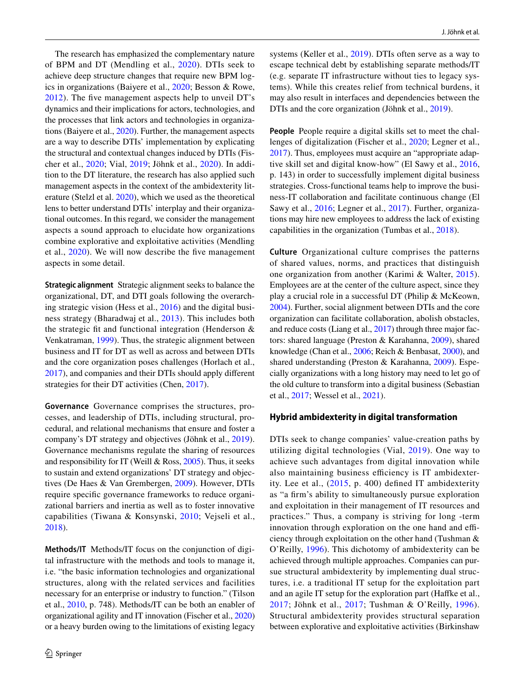The research has emphasized the complementary nature of BPM and DT (Mendling et al., [2020](#page-20-19)). DTIs seek to achieve deep structure changes that require new BPM logics in organizations (Baiyere et al., [2020;](#page-19-15) Besson & Rowe, [2012\)](#page-19-8). The fve management aspects help to unveil DT's dynamics and their implications for actors, technologies, and the processes that link actors and technologies in organizations (Baiyere et al., [2020\)](#page-19-15). Further, the management aspects are a way to describe DTIs' implementation by explicating the structural and contextual changes induced by DTIs (Fischer et al., [2020](#page-19-5); Vial, [2019;](#page-21-0) Jöhnk et al., [2020](#page-20-7)). In addition to the DT literature, the research has also applied such management aspects in the context of the ambidexterity literature (Stelzl et al. [2020\)](#page-21-9), which we used as the theoretical lens to better understand DTIs' interplay and their organizational outcomes. In this regard, we consider the management aspects a sound approach to elucidate how organizations combine explorative and exploitative activities (Mendling et al., [2020](#page-20-19)). We will now describe the fve management aspects in some detail.

**Strategic alignment** Strategic alignment seeks to balance the organizational, DT, and DTI goals following the overarching strategic vision (Hess et al., [2016\)](#page-20-15) and the digital business strategy (Bharadwaj et al., [2013\)](#page-19-6). This includes both the strategic ft and functional integration (Henderson & Venkatraman, [1999](#page-20-13)). Thus, the strategic alignment between business and IT for DT as well as across and between DTIs and the core organization poses challenges (Horlach et al., [2017](#page-20-20)), and companies and their DTIs should apply diferent strategies for their DT activities (Chen, [2017](#page-19-16)).

**Governance** Governance comprises the structures, processes, and leadership of DTIs, including structural, procedural, and relational mechanisms that ensure and foster a company's DT strategy and objectives (Jöhnk et al., [2019](#page-20-9)). Governance mechanisms regulate the sharing of resources and responsibility for IT (Weill  $& Ross, 2005$ ). Thus, it seeks to sustain and extend organizations' DT strategy and objectives (De Haes & Van Grembergen, [2009\)](#page-19-17). However, DTIs require specifc governance frameworks to reduce organizational barriers and inertia as well as to foster innovative capabilities (Tiwana & Konsynski, [2010](#page-21-18); Vejseli et al., [2018](#page-21-19)).

**Methods/IT** Methods/IT focus on the conjunction of digital infrastructure with the methods and tools to manage it, i.e. "the basic information technologies and organizational structures, along with the related services and facilities necessary for an enterprise or industry to function." (Tilson et al., [2010](#page-21-20), p. 748). Methods/IT can be both an enabler of organizational agility and IT innovation (Fischer et al., [2020\)](#page-19-5) or a heavy burden owing to the limitations of existing legacy systems (Keller et al., [2019](#page-20-21)). DTIs often serve as a way to escape technical debt by establishing separate methods/IT (e.g. separate IT infrastructure without ties to legacy systems). While this creates relief from technical burdens, it may also result in interfaces and dependencies between the DTIs and the core organization (Jöhnk et al., [2019](#page-20-9)).

**People** People require a digital skills set to meet the challenges of digitalization (Fischer et al., [2020](#page-19-5); Legner et al., [2017](#page-20-0)). Thus, employees must acquire an "appropriate adaptive skill set and digital know-how" (El Sawy et al., [2016,](#page-19-14) p. 143) in order to successfully implement digital business strategies. Cross-functional teams help to improve the business-IT collaboration and facilitate continuous change (El Sawy et al., [2016](#page-19-14); Legner et al., [2017](#page-20-0)). Further, organizations may hire new employees to address the lack of existing capabilities in the organization (Tumbas et al., [2018](#page-21-21)).

**Culture** Organizational culture comprises the patterns of shared values, norms, and practices that distinguish one organization from another (Karimi & Walter, [2015](#page-20-22)). Employees are at the center of the culture aspect, since they play a crucial role in a successful DT (Philip & McKeown, [2004](#page-20-23)). Further, social alignment between DTIs and the core organization can facilitate collaboration, abolish obstacles, and reduce costs (Liang et al., [2017](#page-20-24)) through three major factors: shared language (Preston & Karahanna, [2009\)](#page-20-25), shared knowledge (Chan et al., [2006;](#page-19-18) Reich & Benbasat, [2000\)](#page-21-22), and shared understanding (Preston & Karahanna, [2009](#page-20-25)). Especially organizations with a long history may need to let go of the old culture to transform into a digital business (Sebastian et al., [2017;](#page-21-10) Wessel et al., [2021\)](#page-21-11).

### **Hybrid ambidexterity in digital transformation**

DTIs seek to change companies' value-creation paths by utilizing digital technologies (Vial, [2019](#page-21-0)). One way to achieve such advantages from digital innovation while also maintaining business efficiency is IT ambidexterity. Lee et al., [\(2015,](#page-20-26) p. 400) defned IT ambidexterity as "a frm's ability to simultaneously pursue exploration and exploitation in their management of IT resources and practices." Thus, a company is striving for long -term innovation through exploration on the one hand and efficiency through exploitation on the other hand (Tushman & O'Reilly, [1996\)](#page-21-3). This dichotomy of ambidexterity can be achieved through multiple approaches. Companies can pursue structural ambidexterity by implementing dual structures, i.e. a traditional IT setup for the exploitation part and an agile IT setup for the exploration part (Hafke et al., [2017](#page-19-3); Jöhnk et al., [2017;](#page-20-2) Tushman & O'Reilly, [1996\)](#page-21-3). Structural ambidexterity provides structural separation between explorative and exploitative activities (Birkinshaw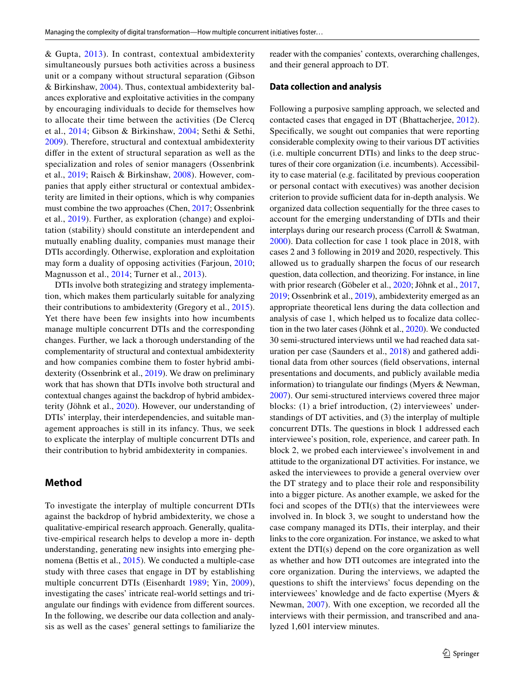& Gupta, [2013](#page-19-19)). In contrast, contextual ambidexterity simultaneously pursues both activities across a business unit or a company without structural separation (Gibson & Birkinshaw, [2004\)](#page-19-20). Thus, contextual ambidexterity balances explorative and exploitative activities in the company by encouraging individuals to decide for themselves how to allocate their time between the activities (De Clercq et al., [2014;](#page-19-21) Gibson & Birkinshaw, [2004](#page-19-20); Sethi & Sethi, [2009\)](#page-21-23). Therefore, structural and contextual ambidexterity difer in the extent of structural separation as well as the specialization and roles of senior managers (Ossenbrink et al., [2019](#page-20-6); Raisch & Birkinshaw, [2008](#page-21-24)). However, companies that apply either structural or contextual ambidexterity are limited in their options, which is why companies must combine the two approaches (Chen, [2017;](#page-19-16) Ossenbrink et al., [2019\)](#page-20-6). Further, as exploration (change) and exploitation (stability) should constitute an interdependent and mutually enabling duality, companies must manage their DTIs accordingly. Otherwise, exploration and exploitation may form a duality of opposing activities (Farjoun, [2010](#page-19-2); Magnusson et al., [2014;](#page-20-27) Turner et al., [2013\)](#page-21-25).

DTIs involve both strategizing and strategy implementation, which makes them particularly suitable for analyzing their contributions to ambidexterity (Gregory et al., [2015](#page-19-1)). Yet there have been few insights into how incumbents manage multiple concurrent DTIs and the corresponding changes. Further, we lack a thorough understanding of the complementarity of structural and contextual ambidexterity and how companies combine them to foster hybrid ambidexterity (Ossenbrink et al., [2019](#page-20-6)). We draw on preliminary work that has shown that DTIs involve both structural and contextual changes against the backdrop of hybrid ambidexterity (Jöhnk et al., [2020\)](#page-20-7). However, our understanding of DTIs' interplay, their interdependencies, and suitable management approaches is still in its infancy. Thus, we seek to explicate the interplay of multiple concurrent DTIs and their contribution to hybrid ambidexterity in companies.

### **Method**

To investigate the interplay of multiple concurrent DTIs against the backdrop of hybrid ambidexterity, we chose a qualitative-empirical research approach. Generally, qualitative-empirical research helps to develop a more in- depth understanding, generating new insights into emerging phenomena (Bettis et al., [2015\)](#page-19-22). We conducted a multiple-case study with three cases that engage in DT by establishing multiple concurrent DTIs (Eisenhardt [1989;](#page-19-23) Yin, [2009](#page-22-4)), investigating the cases' intricate real-world settings and triangulate our fndings with evidence from diferent sources. In the following, we describe our data collection and analysis as well as the cases' general settings to familiarize the reader with the companies' contexts, overarching challenges, and their general approach to DT.

#### **Data collection and analysis**

Following a purposive sampling approach, we selected and contacted cases that engaged in DT (Bhattacherjee, [2012](#page-19-24)). Specifcally, we sought out companies that were reporting considerable complexity owing to their various DT activities (i.e. multiple concurrent DTIs) and links to the deep structures of their core organization (i.e. incumbents). Accessibility to case material (e.g. facilitated by previous cooperation or personal contact with executives) was another decision criterion to provide sufficient data for in-depth analysis. We organized data collection sequentially for the three cases to account for the emerging understanding of DTIs and their interplays during our research process (Carroll & Swatman, [2000\)](#page-19-25). Data collection for case 1 took place in 2018, with cases 2 and 3 following in 2019 and 2020, respectively. This allowed us to gradually sharpen the focus of our research question, data collection, and theorizing. For instance, in line with prior research (Göbeler et al., [2020](#page-19-4); Jöhnk et al., [2017,](#page-20-2) [2019](#page-20-9); Ossenbrink et al., [2019\)](#page-20-6), ambidexterity emerged as an appropriate theoretical lens during the data collection and analysis of case 1, which helped us to focalize data collection in the two later cases (Jöhnk et al., [2020](#page-20-7)). We conducted 30 semi-structured interviews until we had reached data saturation per case (Saunders et al., [2018](#page-21-26)) and gathered additional data from other sources (feld observations, internal presentations and documents, and publicly available media information) to triangulate our fndings (Myers & Newman, [2007](#page-20-28)). Our semi-structured interviews covered three major blocks: (1) a brief introduction, (2) interviewees' understandings of DT activities, and (3) the interplay of multiple concurrent DTIs. The questions in block 1 addressed each interviewee's position, role, experience, and career path. In block 2, we probed each interviewee's involvement in and attitude to the organizational DT activities. For instance, we asked the interviewees to provide a general overview over the DT strategy and to place their role and responsibility into a bigger picture. As another example, we asked for the foci and scopes of the DTI(s) that the interviewees were involved in. In block 3, we sought to understand how the case company managed its DTIs, their interplay, and their links to the core organization. For instance, we asked to what extent the DTI(s) depend on the core organization as well as whether and how DTI outcomes are integrated into the core organization. During the interviews, we adapted the questions to shift the interviews' focus depending on the interviewees' knowledge and de facto expertise (Myers & Newman, [2007\)](#page-20-28). With one exception, we recorded all the interviews with their permission, and transcribed and analyzed 1,601 interview minutes.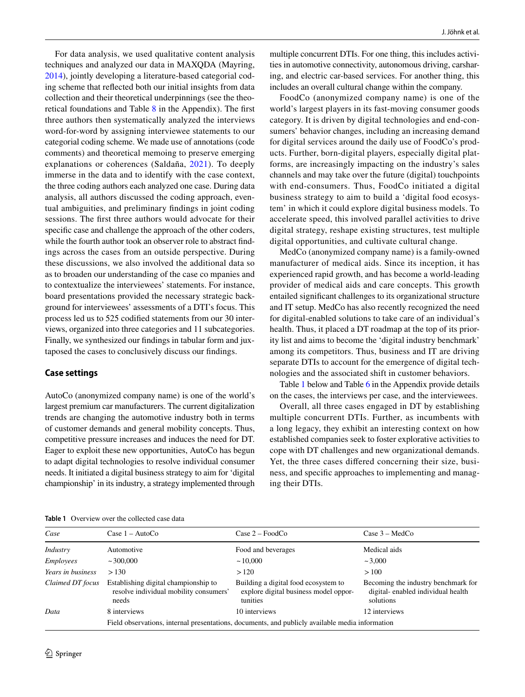For data analysis, we used qualitative content analysis techniques and analyzed our data in MAXQDA (Mayring, [2014](#page-20-29)), jointly developing a literature-based categorial coding scheme that refected both our initial insights from data collection and their theoretical underpinnings (see the theoretical foundations and Table [8](#page-18-1) in the Appendix). The frst three authors then systematically analyzed the interviews word-for-word by assigning interviewee statements to our categorial coding scheme. We made use of annotations (code comments) and theoretical memoing to preserve emerging explanations or coherences (Saldaña, [2021](#page-21-27)). To deeply immerse in the data and to identify with the case context, the three coding authors each analyzed one case. During data analysis, all authors discussed the coding approach, eventual ambiguities, and preliminary fndings in joint coding sessions. The frst three authors would advocate for their specifc case and challenge the approach of the other coders, while the fourth author took an observer role to abstract fndings across the cases from an outside perspective. During these discussions, we also involved the additional data so as to broaden our understanding of the case co mpanies and to contextualize the interviewees' statements. For instance, board presentations provided the necessary strategic background for interviewees' assessments of a DTI's focus. This process led us to 525 codifed statements from our 30 interviews, organized into three categories and 11 subcategories. Finally, we synthesized our fndings in tabular form and juxtaposed the cases to conclusively discuss our fndings.

#### **Case settings**

AutoCo (anonymized company name) is one of the world's largest premium car manufacturers. The current digitalization trends are changing the automotive industry both in terms of customer demands and general mobility concepts. Thus, competitive pressure increases and induces the need for DT. Eager to exploit these new opportunities, AutoCo has begun to adapt digital technologies to resolve individual consumer needs. It initiated a digital business strategy to aim for 'digital championship' in its industry, a strategy implemented through multiple concurrent DTIs. For one thing, this includes activities in automotive connectivity, autonomous driving, carsharing, and electric car-based services. For another thing, this includes an overall cultural change within the company.

FoodCo (anonymized company name) is one of the world's largest players in its fast-moving consumer goods category. It is driven by digital technologies and end-consumers' behavior changes, including an increasing demand for digital services around the daily use of FoodCo's products. Further, born-digital players, especially digital platforms, are increasingly impacting on the industry's sales channels and may take over the future (digital) touchpoints with end-consumers. Thus, FoodCo initiated a digital business strategy to aim to build a 'digital food ecosystem' in which it could explore digital business models. To accelerate speed, this involved parallel activities to drive digital strategy, reshape existing structures, test multiple digital opportunities, and cultivate cultural change.

MedCo (anonymized company name) is a family-owned manufacturer of medical aids. Since its inception, it has experienced rapid growth, and has become a world-leading provider of medical aids and care concepts. This growth entailed signifcant challenges to its organizational structure and IT setup. MedCo has also recently recognized the need for digital-enabled solutions to take care of an individual's health. Thus, it placed a DT roadmap at the top of its priority list and aims to become the 'digital industry benchmark' among its competitors. Thus, business and IT are driving separate DTIs to account for the emergence of digital technologies and the associated shift in customer behaviors.

Table [1](#page-5-0) below and Table [6](#page-16-0) in the Appendix provide details on the cases, the interviews per case, and the interviewees.

Overall, all three cases engaged in DT by establishing multiple concurrent DTIs. Further, as incumbents with a long legacy, they exhibit an interesting context on how established companies seek to foster explorative activities to cope with DT challenges and new organizational demands. Yet, the three cases difered concerning their size, business, and specifc approaches to implementing and managing their DTIs.

<span id="page-5-0"></span>**Table 1** Overview over the collected case data

| Case              | Case $1 - \text{AutoCo}$                                                                        | $Case 2 - FoodCo$                                                                         | Case $3 - MedCo$                                                                      |  |  |  |
|-------------------|-------------------------------------------------------------------------------------------------|-------------------------------------------------------------------------------------------|---------------------------------------------------------------------------------------|--|--|--|
| <i>Industry</i>   | Automotive                                                                                      | Food and beverages                                                                        | Medical aids                                                                          |  |  |  |
| Employees         | $\sim$ 300,000                                                                                  | ~10,000                                                                                   | $\sim 3,000$                                                                          |  |  |  |
| Years in business | > 130                                                                                           | >120                                                                                      | >100                                                                                  |  |  |  |
| Claimed DT focus  | Establishing digital championship to<br>resolve individual mobility consumers'<br>needs         | Building a digital food ecosystem to<br>explore digital business model oppor-<br>tunities | Becoming the industry benchmark for<br>digital-enabled individual health<br>solutions |  |  |  |
| Data              | 8 interviews                                                                                    | 10 interviews                                                                             | 12 interviews                                                                         |  |  |  |
|                   | Field observations, internal presentations, documents, and publicly available media information |                                                                                           |                                                                                       |  |  |  |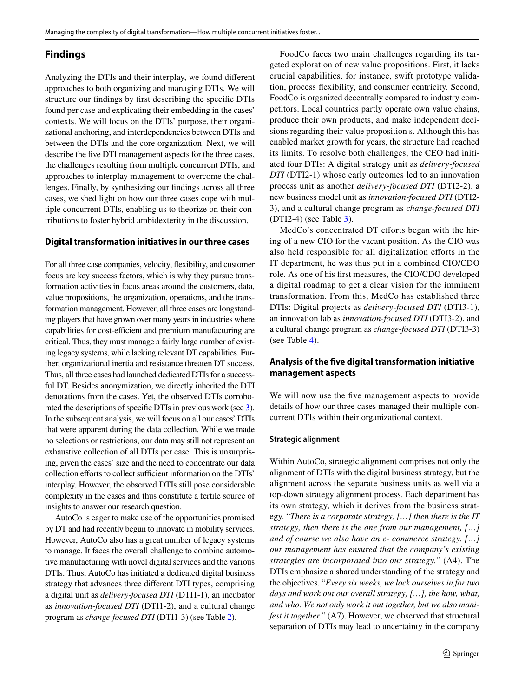## **Findings**

Analyzing the DTIs and their interplay, we found diferent approaches to both organizing and managing DTIs. We will structure our fndings by frst describing the specifc DTIs found per case and explicating their embedding in the cases' contexts. We will focus on the DTIs' purpose, their organizational anchoring, and interdependencies between DTIs and between the DTIs and the core organization. Next, we will describe the fve DTI management aspects for the three cases, the challenges resulting from multiple concurrent DTIs, and approaches to interplay management to overcome the challenges. Finally, by synthesizing our fndings across all three cases, we shed light on how our three cases cope with multiple concurrent DTIs, enabling us to theorize on their contributions to foster hybrid ambidexterity in the discussion.

#### **Digital transformation initiatives in our three cases**

For all three case companies, velocity, fexibility, and customer focus are key success factors, which is why they pursue transformation activities in focus areas around the customers, data, value propositions, the organization, operations, and the transformation management. However, all three cases are longstanding players that have grown over many years in industries where capabilities for cost-efficient and premium manufacturing are critical. Thus, they must manage a fairly large number of existing legacy systems, while lacking relevant DT capabilities. Further, organizational inertia and resistance threaten DT success. Thus, all three cases had launched dedicated DTIs for a successful DT. Besides anonymization, we directly inherited the DTI denotations from the cases. Yet, the observed DTIs corroborated the descriptions of specifc DTIs in previous work (see [3\)](#page-1-0). In the subsequent analysis, we will focus on all our cases' DTIs that were apparent during the data collection. While we made no selections or restrictions, our data may still not represent an exhaustive collection of all DTIs per case. This is unsurprising, given the cases' size and the need to concentrate our data collection efforts to collect sufficient information on the DTIs' interplay. However, the observed DTIs still pose considerable complexity in the cases and thus constitute a fertile source of insights to answer our research question.

AutoCo is eager to make use of the opportunities promised by DT and had recently begun to innovate in mobility services. However, AutoCo also has a great number of legacy systems to manage. It faces the overall challenge to combine automotive manufacturing with novel digital services and the various DTIs. Thus, AutoCo has initiated a dedicated digital business strategy that advances three diferent DTI types, comprising a digital unit as *delivery-focused DTI* (DTI1-1), an incubator as *innovation-focused DTI* (DTI1-2), and a cultural change program as *change-focused DTI* (DTI1-3) (see Table [2\)](#page-7-0).

FoodCo faces two main challenges regarding its targeted exploration of new value propositions. First, it lacks crucial capabilities, for instance, swift prototype validation, process fexibility, and consumer centricity. Second, FoodCo is organized decentrally compared to industry competitors. Local countries partly operate own value chains, produce their own products, and make independent decisions regarding their value proposition s. Although this has enabled market growth for years, the structure had reached its limits. To resolve both challenges, the CEO had initiated four DTIs: A digital strategy unit as *delivery-focused DTI* (DTI2-1) whose early outcomes led to an innovation process unit as another *delivery-focused DTI* (DTI2-2), a new business model unit as *innovation-focused DTI* (DTI2- 3), and a cultural change program as *change-focused DTI* (DTI2-4) (see Table [3](#page-8-0)).

MedCo's concentrated DT efforts began with the hiring of a new CIO for the vacant position. As the CIO was also held responsible for all digitalization efforts in the IT department, he was thus put in a combined CIO/CDO role. As one of his frst measures, the CIO/CDO developed a digital roadmap to get a clear vision for the imminent transformation. From this, MedCo has established three DTIs: Digital projects as *delivery-focused DTI* (DTI3-1), an innovation lab as *innovation-focused DTI* (DTI3-2), and a cultural change program as *change-focused DTI* (DTI3-3) (see Table [4](#page-9-0)).

### **Analysis of the fve digital transformation initiative management aspects**

We will now use the fve management aspects to provide details of how our three cases managed their multiple concurrent DTIs within their organizational context.

#### **Strategic alignment**

Within AutoCo, strategic alignment comprises not only the alignment of DTIs with the digital business strategy, but the alignment across the separate business units as well via a top-down strategy alignment process. Each department has its own strategy, which it derives from the business strategy. "*There is a corporate strategy, […] then there is the IT strategy, then there is the one from our management, […] and of course we also have an e- commerce strategy. […] our management has ensured that the company's existing strategies are incorporated into our strategy.*" (A4). The DTIs emphasize a shared understanding of the strategy and the objectives. "*Every six weeks, we lock ourselves in for two days and work out our overall strategy, […], the how, what, and who. We not only work it out together, but we also manifest it together.*" (A7). However, we observed that structural separation of DTIs may lead to uncertainty in the company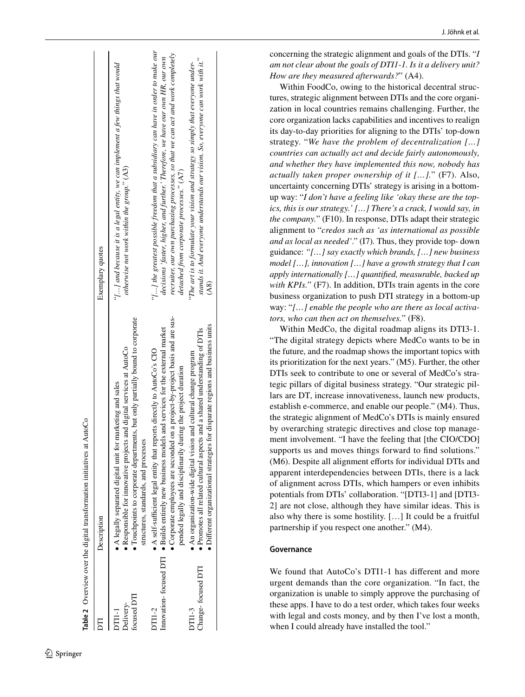|                                        | <b>Table 2</b> Overview over the digital transformation initiatives at AutoCo                                                                                                                                                                                                                                                         |                                                                                                                                                                                                                                                                                                           |
|----------------------------------------|---------------------------------------------------------------------------------------------------------------------------------------------------------------------------------------------------------------------------------------------------------------------------------------------------------------------------------------|-----------------------------------------------------------------------------------------------------------------------------------------------------------------------------------------------------------------------------------------------------------------------------------------------------------|
|                                        | Description                                                                                                                                                                                                                                                                                                                           | Exemplary quotes                                                                                                                                                                                                                                                                                          |
| focused DTI<br>Delivery-<br>)<br>TII-1 | • Touchpoints to corporate departments, but only partially bound to corporate<br>• Responsible for innovative projects and digital services at AutoCo<br>$\bullet$ A legally separated digital unit for marketing and sales<br>structures, standards, and processes                                                                   | " $\{ \}$ and because it is a legal entity, we can implement a few things that would<br>otherwise not work within the group." (A3)                                                                                                                                                                        |
| DT11-2                                 | • Corporate employees are seconded on a project-by-project basis and are sus-<br>Innovation-focused DTI $\bullet$ Builds entirely new business models and services for the external market<br>• A self-sufficient legal entity that reports directly to AutoCo's CIO<br>pended legally and disciplinarily during the project duration | " $\{ \}$ the greatest possible freedom that a subsidiary can have in order to make our<br>recruiter, our own purchasing processes, so that we can act and work completely<br>decisions 'faster, higher, and further.' Therefore, we have our own HR, our own<br>detached from corporate processes." (A7) |
| Change-focused DTI<br><b>DT11-3</b>    | · Different organizational strategies for disparate regions and business units<br>• Promotes all related cultural aspects and a shared understanding of DTIs<br>$\bullet$ An organization-wide digital vision and cultural change program                                                                                             | stands it. And everyone understands our vision. So, everyone can work with it."<br>"The art is to formulate your vision and strategy so simply that everyone under-<br>$\mathbf{A}8$                                                                                                                      |

J. Jöhnk et al.

concerning the strategic alignment and goals of the DTIs. "*I am not clear about the goals of DTI1-1. Is it a delivery unit? How are they measured afterwards?*" (A4).

Within FoodCo, owing to the historical decentral struc tures, strategic alignment between DTIs and the core organi zation in local countries remains challenging. Further, the core organization lacks capabilities and incentives to realign its day-to-day priorities for aligning to the DTIs' top-down strategy. "*We have the problem of decentralization […] countries can actually act and decide fairly autonomously, and whether they have implemented this now, nobody has actually taken proper ownership of it […].*" (F7). Also, uncertainty concerning DTIs' strategy is arising in a bottomup way: "*I don't have a feeling like 'okay these are the topics, this is our strategy.' […] There's a crack, I would say, in the company.*" (F10). In response, DTIs adapt their strategic alignment to "*credos such as 'as international as possible and as local as needed'*." (I7) *.* Thus, they provide top- down guidance: *"[…] say exactly which brands, […] new business model […], innovation […] have a growth strategy that I can apply internationally […] quantifed, measurable, backed up with KPIs.*" (F7). In addition, DTIs train agents in the core business organization to push DTI strategy in a bottom-up way: "*[…] enable the people who are there as local activa tors, who can then act on themselves.*" (F8).

Within MedCo, the digital roadmap aligns its DTI3-1. "The digital strategy depicts where MedCo wants to be in the future, and the roadmap shows the important topics with its prioritization for the next years." (M5). Further, the other DTIs seek to contribute to one or several of MedCo's stra tegic pillars of digital business strategy. "Our strategic pil lars are DT, increase innovativeness, launch new products, establish e-commerce, and enable our people." (M4). Thus, the strategic alignment of MedCo's DTIs is mainly ensured by overarching strategic directives and close top manage ment involvement. "I have the feeling that [the CIO/CDO] supports us and moves things forward to find solutions." (M6). Despite all alignment efforts for individual DTIs and apparent interdependencies between DTIs, there is a lack of alignment across DTIs, which hampers or even inhibits potentials from DTIs' collaboration. "[DTI3-1] and [DTI3- 2] are not close, although they have similar ideas. This is also why there is some hostility. […] It could be a fruitful partnership if you respect one another." (M4).

### **Governance**

<span id="page-7-0"></span>We found that AutoCo's DTI1-1 has diferent and more urgent demands than the core organization. "In fact, the organization is unable to simply approve the purchasing of these apps. I have to do a test order, which takes four weeks with legal and costs money, and by then I've lost a month, when I could already have installed the tool."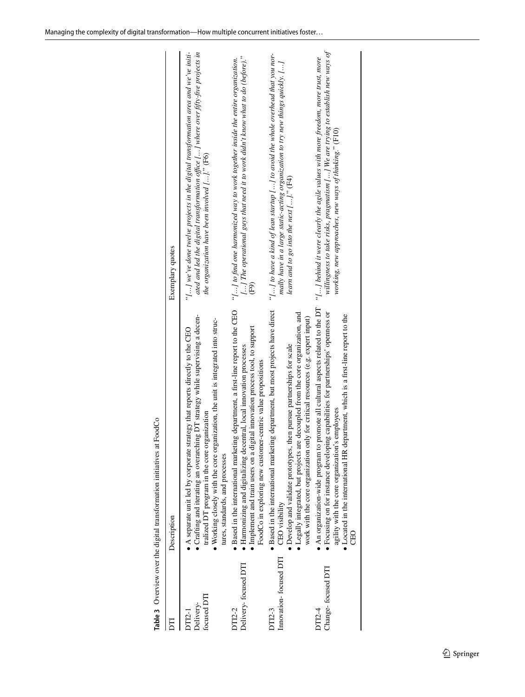<span id="page-8-0"></span>

|                                    | Description                                                                                                                                                                                                                                                                                                                                           | Exemplary quotes                                                                                                                                                                                                                    |
|------------------------------------|-------------------------------------------------------------------------------------------------------------------------------------------------------------------------------------------------------------------------------------------------------------------------------------------------------------------------------------------------------|-------------------------------------------------------------------------------------------------------------------------------------------------------------------------------------------------------------------------------------|
| focused DTI<br>Delivery-<br>DT12-1 | Crafting and iterating an overarching DT strategy while supervising a decen-<br>• Working closely with the core organization, the unit is integrated into struc-<br>A separate unit led by corporate strategy that reports directly to the CEO<br>tralized DT program in the core organization<br>tures, standards, and processes                     | ated and led the digital transformation office [] where over fifty-five projects in<br>" $\ldots$ ] we've done twelve projects in the digital transformation area and we've initi-<br>the organization have been involved []." (F6) |
| Delivery-focused DTI<br>DT12-2     | · Based in the international marketing department, a first-line report to the CEO<br>· Implement and train users on a digital innovation process tool, to support<br>• Harmonizing and digitalizing decentral, local innovation processes<br>FoodCo in exploring new customer-centric value propositions                                              | [] The operational guys that need it to work didn't know what to do (before)."<br>"[] to find one harmonized way to work together inside the entire organization.<br>$\widetilde{F}$ 9)                                             |
| Innovation-focused DTI<br>DT12-3   | · Based in the international marketing department, but most projects have direct<br>• Legally integrated, but projects are decoupled from the core organization, and<br>work with the core organization only for critical resources (e.g. expert input)<br>then pursue partnerships for scale<br>• Develop and validate prototypes,<br>CEO visibility | "[] to have a kind of lean startup [] to avoid the whole overhead that you nor-<br>mally have in a large static-acting organization to try new things quickly. []<br>learn and to go into the next $[]$ ." $(F4)$                   |
| Change-focused DTI<br>DT12-4       | • An organization-wide program to promote all cultural aspects related to the DT<br>• Focusing on for instance developing capabilities for partnerships' openness or<br>department, which is a first-line report to the<br>agility with the core organization's employees<br>• Located in the international HR<br><b>CEO</b>                          | willingness to take risks, pragmatism [] We are trying to establish new ways of<br>"[] behind it were clearly the agile values with more freedom, more trust, more<br>working, new approaches, new ways of thinking." (F10)         |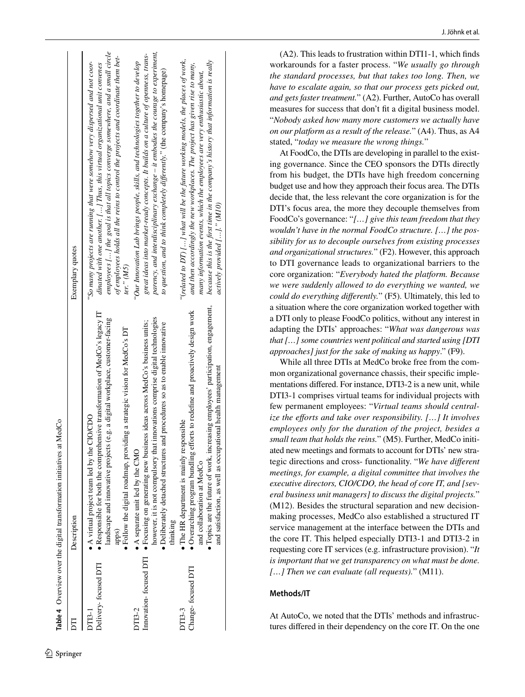|                                      | Table 4 Overview over the digital transformation initiatives at MedCo                                                                                                                                                                                                                                       |                                                                                                                                                                                                                                                                                                                                                                       |
|--------------------------------------|-------------------------------------------------------------------------------------------------------------------------------------------------------------------------------------------------------------------------------------------------------------------------------------------------------------|-----------------------------------------------------------------------------------------------------------------------------------------------------------------------------------------------------------------------------------------------------------------------------------------------------------------------------------------------------------------------|
|                                      | Description                                                                                                                                                                                                                                                                                                 | Exemplary quotes                                                                                                                                                                                                                                                                                                                                                      |
| Delivery-focused DTI<br><u>этра-</u> | nensive transformation of MedCo's legacy IT<br>landscape and innovative projects (e.g. a digital workplace, customer-facing<br>· Follow the digital roadmap, providing a strategic vision for MedCo's DT<br>A virtual project team led by the CIO/CDO<br>• Responsible for both the compreh<br>apps)        | employees $\left[\ldots\right]$ the goal is that all topics converge somewhere, and a small circle<br>of employees holds all the reins to control the projects and coordinate them bet-<br>"So many projects are running that were somehow very dispersed and not coor-<br>dinated with one another. [] Thus, this virtual organizational unit convenes<br>ter." (M5) |
| Innovation-focused DTI<br>DT13-2     | however, it is not compulsory that innovations comprise digital technologies<br>$\bullet$ Focusing on generating new business ideas across MedCo's business units;<br>· Deliberately detached structures and procedures so as to enable innovative<br>A separate unit led by the CMO<br>thinking            | parency, and interdisciplinary exchange – it embodies the courage to experiment,<br>great ideas into market-ready concepts. It builds on a culture of openness, trans-<br>"Our Innovation Lab brings people, skills, and technologies together to develop<br>to question, and to think completely differently." (the company's homepage)                              |
| Change-focused DTI<br>DT13-3         | · Topics are the future of work, increasing employees' participation, engagement,<br>• Overarching program bundling efforts to redefine and proactively design work<br>and satisfaction, as well as occupational health management<br>The HR department is mainly responsible<br>and collaboration at MedCo | because this is the first time in the company's history that information is really<br>"(related to $DT$ ) [] what will be the future working models, the places of work,<br>and then accordingly the new workplaces. The project has given rise to many,<br>many information events, which the employees are very enthusiastic about,<br>actively provided []." (M10) |
|                                      |                                                                                                                                                                                                                                                                                                             |                                                                                                                                                                                                                                                                                                                                                                       |

(A2). This leads to frustration within DTI1-1, which fnds workarounds for a faster process. "*We usually go through the standard processes, but that takes too long. Then, we have to escalate again, so that our process gets picked out, and gets faster treatment.*" (A2). Further, AutoCo has overall measures for success that don't ft a digital business model. "*Nobody asked how many more customers we actually have* 

At FoodCo, the DTIs are developing in parallel to the exist ing governance. Since the CEO sponsors the DTIs directly from his budget, the DTIs have high freedom concerning budget use and how they approach their focus area. The DTIs decide that, the less relevant the core organization is for the

*on our platform as a result of the release.*" (A4). Thus, as A4

stated, "*today we measure the wrong things.* "

DTI's focus area, the more they decouple themselves from FoodCo's governance: "*[…] give this team freedom that they wouldn't have in the normal FoodCo structure. […] the pos sibility for us to decouple ourselves from existing processes and organizational structures.*" (F2). However, this approach to DTI governance leads to organizational barriers to the core organization: "*Everybody hated the platform. Because we were suddenly allowed to do everything we wanted, we could do everything diferently.*" (F5). Ultimately, this led to a situation where the core organization worked together with a DTI only to please FoodCo politics, without any interest in adapting the DTIs' approaches: "*What was dangerous was that […] some countries went political and started using [DTI approaches] just for the sake of making us happy*." (F9).

While all three DTIs at MedCo broke free from the com mon organizational governance chassis, their specifc imple mentations difered. For instance, DTI3-2 is a new unit, while DTI3-1 comprises virtual teams for individual projects with few permanent employees: "*Virtual teams should central ize the eforts and take over responsibility. […] It involves employees only for the duration of the project, besides a small team that holds the reins.*" (M5). Further, MedCo initi ated new meetings and formats to account for DTIs' new stra tegic directions and cross- functionality. "*We have diferent meetings, for example, a digital committee that involves the executive directors, CIO/CDO, the head of core IT, and [sev eral business unit managers] to discuss the digital projects.*" (M12). Besides the structural separation and new decisionmaking processes, MedCo also established a structured IT service management at the interface between the DTIs and the core IT. This helped especially DTI3-1 and DTI3-2 in requesting core IT services (e.g. infrastructure provision). "*It is important that we get transparency on what must be done. […] Then we can evaluate (all requests).*" (M11).

## **Methods/IT**

<span id="page-9-0"></span>At AutoCo, we noted that the DTIs' methods and infrastruc tures difered in their dependency on the core IT. On the one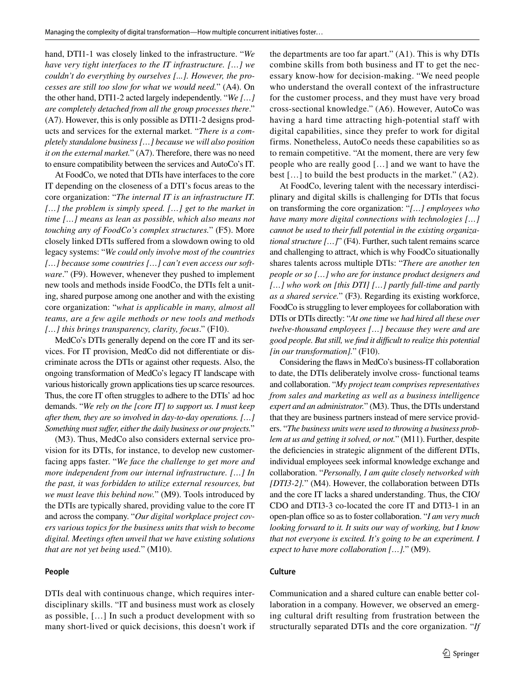hand, DTI1-1 was closely linked to the infrastructure. "*We have very tight interfaces to the IT infrastructure. […] we couldn't do everything by ourselves [...]. However, the processes are still too slow for what we would need.*" (A4). On the other hand, DTI1-2 acted largely independently. "*We […] are completely detached from all the group processes there*." (A7). However, this is only possible as DTI1-2 designs products and services for the external market. "*There is a completely standalone business […] because we will also position it on the external market.*" (A7). Therefore, there was no need to ensure compatibility between the services and AutoCo's IT.

At FoodCo, we noted that DTIs have interfaces to the core IT depending on the closeness of a DTI's focus areas to the core organization: "*The internal IT is an infrastructure IT. […] the problem is simply speed. […] get to the market in time […] means as lean as possible, which also means not touching any of FoodCo's complex structures.*" (F5). More closely linked DTIs sufered from a slowdown owing to old legacy systems: "*We could only involve most of the countries […] because some countries […] can't even access our software*." (F9). However, whenever they pushed to implement new tools and methods inside FoodCo, the DTIs felt a uniting, shared purpose among one another and with the existing core organization: "*what is applicable in many, almost all teams, are a few agile methods or new tools and methods […] this brings transparency, clarity, focus*." (F10).

MedCo's DTIs generally depend on the core IT and its services. For IT provision, MedCo did not diferentiate or discriminate across the DTIs or against other requests. Also, the ongoing transformation of MedCo's legacy IT landscape with various historically grown applications ties up scarce resources. Thus, the core IT often struggles to adhere to the DTIs' ad hoc demands. "*We rely on the [core IT] to support us. I must keep after them, they are so involved in day-to-day operations. […] Something must sufer, either the daily business or our projects.*"

(M3). Thus, MedCo also considers external service provision for its DTIs, for instance, to develop new customerfacing apps faster. "*We face the challenge to get more and more independent from our internal infrastructure. […] In the past, it was forbidden to utilize external resources, but we must leave this behind now.*" (M9). Tools introduced by the DTIs are typically shared, providing value to the core IT and across the company. "*Our digital workplace project covers various topics for the business units that wish to become digital. Meetings often unveil that we have existing solutions that are not yet being used.*" (M10).

#### **People**

DTIs deal with continuous change, which requires interdisciplinary skills. "IT and business must work as closely as possible, […] In such a product development with so many short-lived or quick decisions, this doesn't work if the departments are too far apart." (A1). This is why DTIs combine skills from both business and IT to get the necessary know-how for decision-making. "We need people who understand the overall context of the infrastructure for the customer process, and they must have very broad cross-sectional knowledge." (A6). However, AutoCo was having a hard time attracting high-potential staff with digital capabilities, since they prefer to work for digital firms. Nonetheless, AutoCo needs these capabilities so as to remain competitive. "At the moment, there are very few people who are really good […] and we want to have the best […] to build the best products in the market." (A2).

At FoodCo, levering talent with the necessary interdisciplinary and digital skills is challenging for DTIs that focus on transforming the core organization: "*[…] employees who have many more digital connections with technologies […] cannot be used to their full potential in the existing organizational structure […]*" (F4). Further, such talent remains scarce and challenging to attract, which is why FoodCo situationally shares talents across multiple DTIs: "*There are another ten people or so […] who are for instance product designers and […] who work on [this DTI] […] partly full-time and partly as a shared service.*" (F3). Regarding its existing workforce, FoodCo is struggling to lever employees for collaboration with DTIs or DTIs directly: "*At one time we had hired all these over twelve-thousand employees […] because they were and are good people. But still, we fnd it difcult to realize this potential [in our transformation].*" (F10).

Considering the faws in MedCo's business-IT collaboration to date, the DTIs deliberately involve cross- functional teams and collaboration. "*My project team comprises representatives from sales and marketing as well as a business intelligence expert and an administrator.*" (M3). Thus, the DTIs understand that they are business partners instead of mere service providers. "*The business units were used to throwing a business problem at us and getting it solved, or not.*" (M11). Further, despite the defciencies in strategic alignment of the diferent DTIs, individual employees seek informal knowledge exchange and collaboration. "*Personally, I am quite closely networked with [DTI3-2].*" (M4). However, the collaboration between DTIs and the core IT lacks a shared understanding. Thus, the CIO/ CDO and DTI3-3 co-located the core IT and DTI3-1 in an open-plan office so as to foster collaboration. "*I am very much looking forward to it. It suits our way of working, but I know that not everyone is excited. It's going to be an experiment. I expect to have more collaboration […].*" (M9).

#### **Culture**

Communication and a shared culture can enable better collaboration in a company. However, we observed an emerging cultural drift resulting from frustration between the structurally separated DTIs and the core organization. "*If*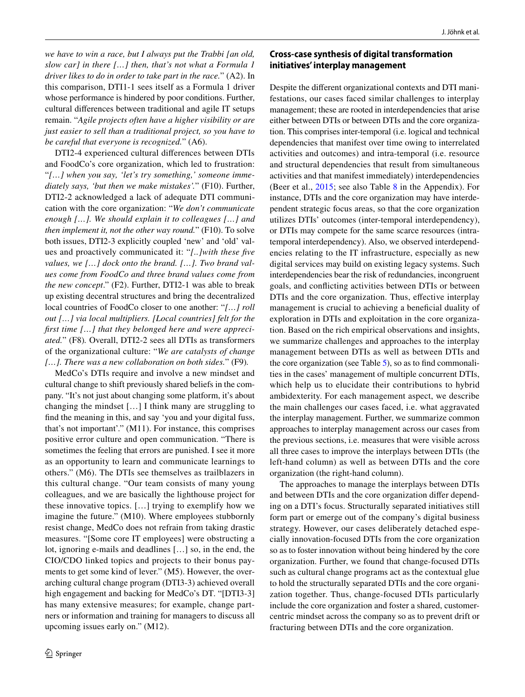*we have to win a race, but I always put the Trabbi [an old, slow car] in there […] then, that's not what a Formula 1 driver likes to do in order to take part in the race.*" (A2). In this comparison, DTI1-1 sees itself as a Formula 1 driver whose performance is hindered by poor conditions. Further, cultural diferences between traditional and agile IT setups remain. "*Agile projects often have a higher visibility or are just easier to sell than a traditional project, so you have to be careful that everyone is recognized.*" (A6).

DTI2-4 experienced cultural diferences between DTIs and FoodCo's core organization, which led to frustration: "*[…] when you say, 'let's try something,' someone immediately says, 'but then we make mistakes'.*" (F10). Further, DTI2-2 acknowledged a lack of adequate DTI communication with the core organization: "*We don't communicate enough […]. We should explain it to colleagues […] and then implement it, not the other way round.*" (F10). To solve both issues, DTI2-3 explicitly coupled 'new' and 'old' values and proactively communicated it: "*[..]with these fve values, we […] dock onto the brand. […]. Two brand values come from FoodCo and three brand values come from the new concept*." (F2). Further, DTI2-1 was able to break up existing decentral structures and bring the decentralized local countries of FoodCo closer to one another: "*[…] roll out […] via local multipliers. [Local countries] felt for the frst time […] that they belonged here and were appreciated.*" (F8)*.* Overall, DTI2-2 sees all DTIs as transformers of the organizational culture: "*We are catalysts of change […]. There was a new collaboration on both sides.*" (F9)*.*

MedCo's DTIs require and involve a new mindset and cultural change to shift previously shared beliefs in the company. "It's not just about changing some platform, it's about changing the mindset […] I think many are struggling to fnd the meaning in this, and say 'you and your digital fuss, that's not important'." (M11). For instance, this comprises positive error culture and open communication. "There is sometimes the feeling that errors are punished. I see it more as an opportunity to learn and communicate learnings to others." (M6). The DTIs see themselves as trailblazers in this cultural change. "Our team consists of many young colleagues, and we are basically the lighthouse project for these innovative topics. […] trying to exemplify how we imagine the future." (M10). Where employees stubbornly resist change, MedCo does not refrain from taking drastic measures. "[Some core IT employees] were obstructing a lot, ignoring e-mails and deadlines […] so, in the end, the CIO/CDO linked topics and projects to their bonus payments to get some kind of lever." (M5). However, the overarching cultural change program (DTI3-3) achieved overall high engagement and backing for MedCo's DT. "[DTI3-3] has many extensive measures; for example, change partners or information and training for managers to discuss all upcoming issues early on." (M12).

### **Cross‑case synthesis of digital transformation initiatives' interplay management**

Despite the diferent organizational contexts and DTI manifestations, our cases faced similar challenges to interplay management; these are rooted in interdependencies that arise either between DTIs or between DTIs and the core organization. This comprises inter-temporal (i.e. logical and technical dependencies that manifest over time owing to interrelated activities and outcomes) and intra-temporal (i.e. resource and structural dependencies that result from simultaneous activities and that manifest immediately) interdependencies (Beer et al., [2015](#page-19-26); see also Table [8](#page-18-1) in the Appendix). For instance, DTIs and the core organization may have interdependent strategic focus areas, so that the core organization utilizes DTIs' outcomes (inter-temporal interdependency), or DTIs may compete for the same scarce resources (intratemporal interdependency). Also, we observed interdependencies relating to the IT infrastructure, especially as new digital services may build on existing legacy systems. Such interdependencies bear the risk of redundancies, incongruent goals, and conficting activities between DTIs or between DTIs and the core organization. Thus, efective interplay management is crucial to achieving a benefcial duality of exploration in DTIs and exploitation in the core organization. Based on the rich empirical observations and insights, we summarize challenges and approaches to the interplay management between DTIs as well as between DTIs and the core organization (see Table [5](#page-12-0)), so as to fnd commonalities in the cases' management of multiple concurrent DTIs, which help us to elucidate their contributions to hybrid ambidexterity. For each management aspect, we describe the main challenges our cases faced, i.e. what aggravated the interplay management. Further, we summarize common approaches to interplay management across our cases from the previous sections, i.e. measures that were visible across all three cases to improve the interplays between DTIs (the left-hand column) as well as between DTIs and the core organization (the right-hand column).

The approaches to manage the interplays between DTIs and between DTIs and the core organization difer depending on a DTI's focus. Structurally separated initiatives still form part or emerge out of the company's digital business strategy. However, our cases deliberately detached especially innovation-focused DTIs from the core organization so as to foster innovation without being hindered by the core organization. Further, we found that change-focused DTIs such as cultural change programs act as the contextual glue to hold the structurally separated DTIs and the core organization together. Thus, change-focused DTIs particularly include the core organization and foster a shared, customercentric mindset across the company so as to prevent drift or fracturing between DTIs and the core organization.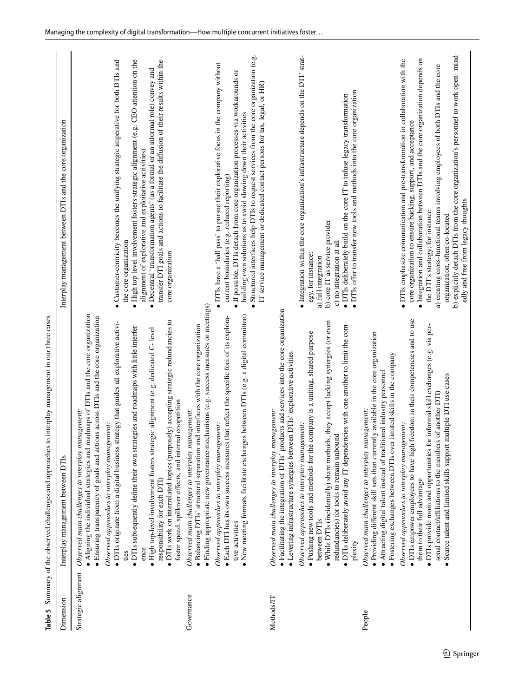<span id="page-12-0"></span>

| Table 5                           | interplay management in our three cases<br>Summary of the observed challenges and approaches to                                                                                                                                                                                                                                                                                                                                                                                                                                                                                                                                                                                                                                                                                                                                                                                                                                                                                        |                                                                                                                                                                                                                                                                                                                                                                                                                                                                     |
|-----------------------------------|----------------------------------------------------------------------------------------------------------------------------------------------------------------------------------------------------------------------------------------------------------------------------------------------------------------------------------------------------------------------------------------------------------------------------------------------------------------------------------------------------------------------------------------------------------------------------------------------------------------------------------------------------------------------------------------------------------------------------------------------------------------------------------------------------------------------------------------------------------------------------------------------------------------------------------------------------------------------------------------|---------------------------------------------------------------------------------------------------------------------------------------------------------------------------------------------------------------------------------------------------------------------------------------------------------------------------------------------------------------------------------------------------------------------------------------------------------------------|
| Dimension                         | Interplay management between DTIs                                                                                                                                                                                                                                                                                                                                                                                                                                                                                                                                                                                                                                                                                                                                                                                                                                                                                                                                                      | Interplay management between DTIs and the core organization                                                                                                                                                                                                                                                                                                                                                                                                         |
| Strategic alignment<br>Governance | · Finding appropriate new governance mechanisms (e.g. success measures or meetings)<br>· Aligning the individual strategies and roadmaps of DTIs and the core organization<br>· Ensuring transparency of goals and actions across DTIs and the core organization<br>· DTIs work on interrelated topics (purposely) accepting strategic redundancies to<br>· DTIs originate from a digital business strategy that guides all explorative activi-<br>· DTIs subsequently define their own strategies and roadmaps with little interfer-<br>· Balancing DTIs' structural separation and interfaces with the core organization<br>· High top-level involvement fosters strategic alignment (e.g. dedicated C- level<br>foster speed, spillover effects, and internal coopetition<br>Observed main challenges to interplay management:<br>Observed main challenges to interplay management:<br>Observed approaches to interplay management:<br>responsibility for each DTI)<br>ence<br>ties | $\bullet$ High top-level involvement fosters strategic alignment (e.g. CEO attention on the<br>Customer-centricity becomes the unifying strategic imperative for both DTIs and<br>transfer DTI goals and actions to facilitate the diffusion of their results within the<br>· Decentral 'transformation agents' (as a formal or an informal role) convey and<br>alignment of explorative and exploitative activities)<br>the core organization<br>core organization |
|                                   | $\bullet$ New meeting formats facilitate exchanges between DTIs (e.g. a digital committee)<br>• Each DTI has its own success measures that reflect the specific foci of its explora-<br>Observed approaches to interplay management:<br>tive activities                                                                                                                                                                                                                                                                                                                                                                                                                                                                                                                                                                                                                                                                                                                                | Structured interfaces help DTIs to request services from the core organization (e.g.<br>· DTIs have a 'hall pass' to pursue their explorative focus in the company without<br>· If possible, DTIs detach from core organization processes via workarounds or<br>IT service management or dedicated contact persons for tax, legal, or HR)<br>building own solutions as to avoid slowing down their activities<br>current boundaries (e.g. reduced reporting)        |
| Methods/IT                        | · Facilitating the integration of DTIs' products and services into the core organization<br>. Pushing new tools and methods for the company is a uniting, shared purpose<br>· Levering infrastructure synergies between DTIs' explorative activities<br>Observed main challenges to interplay management:<br>Observed approaches to interplay management:                                                                                                                                                                                                                                                                                                                                                                                                                                                                                                                                                                                                                              | · Integration within the core organization's infrastructure depends on the DTI' strat-<br>egy, for instance:                                                                                                                                                                                                                                                                                                                                                        |
|                                   | • While DTIs (incidentally) share methods, they accept lacking synergies (or even<br>· DTIs deliberately avoid any IT dependencies with one another to limit the com-<br>redundancies) for tools to remain unbound<br>between DTIs<br>plexity                                                                                                                                                                                                                                                                                                                                                                                                                                                                                                                                                                                                                                                                                                                                          | · DTIs offer to transfer new tools and methods into the core organization<br>· DTIs deliberately build on the core IT to infuse legacy transformation<br>b) core IT as service provider<br>c) no integration at all<br>a) full integration                                                                                                                                                                                                                          |
| People                            | • DTIs empower employees to have high freedom in their competencies and to use<br>· Providing different skill sets than currently available in the core organization<br>limited skills in the company<br>Attracting digital talent instead of traditional industry personnel<br>Observed main challenges to interplay management:<br>Observed approaches to interplay management:<br>· Fostering exchanges between DTIs over                                                                                                                                                                                                                                                                                                                                                                                                                                                                                                                                                           | • DTIs emphasize communication and pre-transformation in collaboration with the<br>core organization to ensure backing, support, and acceptance                                                                                                                                                                                                                                                                                                                     |
|                                   | informal skill exchanges (e.g. via per-<br>Scarce talent and limited skills support multiple DTI use cases<br>sonal contact/affiliations to the members of another DTI<br>· DTIs provide room and opportunities for<br>them to their full advantage                                                                                                                                                                                                                                                                                                                                                                                                                                                                                                                                                                                                                                                                                                                                    | b) explicitly detach DTIs from the core organization's personnel to work open-mind-<br>· Integration and collaboration between DTIs and the core organization depends on<br>a) creating cross-functional teams involving employees of both DTIs and the core<br>edly and free from legacy thoughts<br>the DTI's strategy; for instance:<br>organization, often co-located                                                                                           |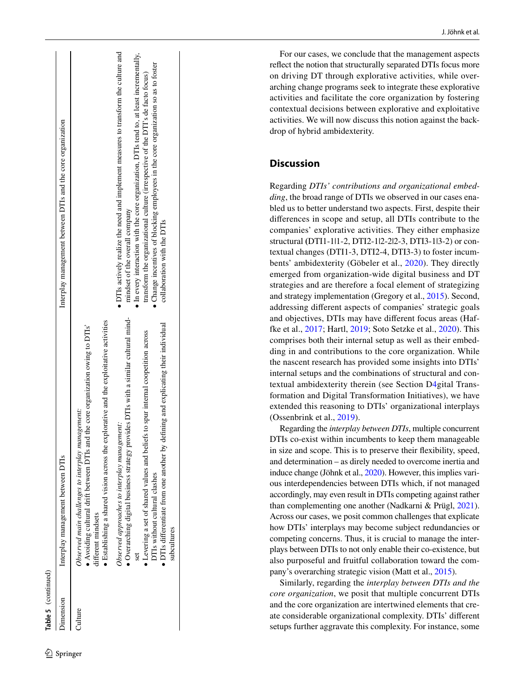| Dimension | Interplay management between DTIs                                                                                                                                                                                                               | Interplay management between DTIs and the core organization                                                                                                                                                        |
|-----------|-------------------------------------------------------------------------------------------------------------------------------------------------------------------------------------------------------------------------------------------------|--------------------------------------------------------------------------------------------------------------------------------------------------------------------------------------------------------------------|
| hure      | Establishing a shared vision across the explorative and the exploitative activities<br>Avoiding cultural drift between DTIs and the core organization owing to DTIs'<br>Observed main challenges to interplay management:<br>lifferent mindsets |                                                                                                                                                                                                                    |
|           | Overarching digital business strategy provides DTIs with a similar cultural mind-<br>Observed approaches to interplay management:                                                                                                               | • DTIs actively realize the need and implement measures to transform the culture and<br>• In every interaction with the core organization, DTIs tend to, at least incrementally,<br>mindset of the overall company |
|           | • DTIs differentiate from one another by defining and explicating their individual<br>• Levering a set of shared values and beliefs to spur internal coopetition across<br>DTIs without cultural clashes<br>subcultures                         | Change incentives of blocking employees in the core organization so as to foster<br>transform the organizational culture (irrespective of the DTI's de facto focus)<br>collaboration with the DTIs                 |
|           |                                                                                                                                                                                                                                                 |                                                                                                                                                                                                                    |

**Table 5**

(continued)

For our cases, we conclude that the management aspects refect the notion that structurally separated DTIs focus more on driving DT through explorative activities, while over arching change programs seek to integrate these explorative activities and facilitate the core organization by fostering contextual decisions between explorative and exploitative activities. We will now discuss this notion against the back drop of hybrid ambidexterity.

## **Discussion**

Regarding *DTIs' contributions and organizational embed ding*, the broad range of DTIs we observed in our cases ena bled us to better understand two aspects. First, despite their diferences in scope and setup, all DTIs contribute to the companies' explorative activities. They either emphasize structural **(**DTI1-1|1-2, DTI2-1|2-2|2-3, DTI3-1|3-2) or con textual changes (DTI1-3, DTI2-4, DTI3-3) to foster incum bents' ambidexterity (Göbeler et al., [2020](#page-19-4)). They directly emerged from organization-wide digital business and DT strategies and are therefore a focal element of strategizing and strategy implementation (Gregory et al., [2015](#page-19-1)). Second, addressing diferent aspects of companies' strategic goals and objectives, DTIs may have diferent focus areas (Haffke et al., [2017](#page-19-3); Hartl, [2019;](#page-20-4) Soto Setzke et al., [2020\)](#page-21-5). This comprises both their internal setup as well as their embed ding in and contributions to the core organization. While the nascent research has provided some insights into DTIs' internal setups and the combinations of structural and con textual ambidexterity therein (see Section D [4](#page-2-0)gital Trans formation and Digital Transformation Initiatives), we have extended this reasoning to DTIs' organizational interplays (Ossenbrink et al., [2019\)](#page-20-6).

Regarding the *interplay between DTIs*, multiple concurrent DTIs co-exist within incumbents to keep them manageable in size and scope. This is to preserve their fexibility, speed, and determination – as direly needed to overcome inertia and induce change (Jöhnk et al., [2020](#page-20-7)). However, this implies vari ous interdependencies between DTIs which, if not managed accordingly, may even result in DTIs competing against rather than complementing one another (Nadkarni & Prügl, [2021](#page-20-8)). Across our cases, we posit common challenges that explicate how DTIs' interplays may become subject redundancies or competing concerns. Thus, it is crucial to manage the inter plays between DTIs to not only enable their co-existence, but also purposeful and fruitful collaboration toward the com pany's overarching strategic vision (Matt et al., [2015\)](#page-20-18).

Similarly, regarding the *interplay between DTIs and the core organization*, we posit that multiple concurrent DTIs and the core organization are intertwined elements that cre ate considerable organizational complexity. DTIs' diferent setups further aggravate this complexity. For instance, some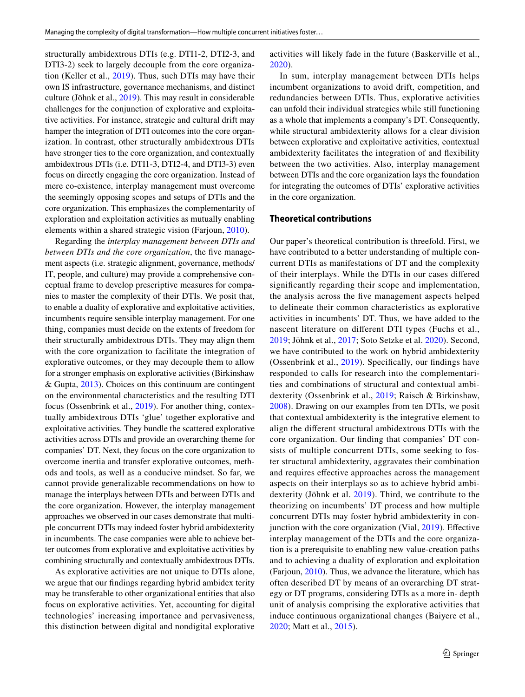structurally ambidextrous DTIs (e.g. DTI1-2, DTI2-3, and DTI3-2) seek to largely decouple from the core organization (Keller et al., [2019](#page-20-21)). Thus, such DTIs may have their own IS infrastructure, governance mechanisms, and distinct culture (Jöhnk et al., [2019](#page-20-9)). This may result in considerable challenges for the conjunction of explorative and exploitative activities. For instance, strategic and cultural drift may hamper the integration of DTI outcomes into the core organization. In contrast, other structurally ambidextrous DTIs have stronger ties to the core organization, and contextually ambidextrous DTIs (i.e. DTI1-3, DTI2-4, and DTI3-3) even focus on directly engaging the core organization. Instead of mere co-existence, interplay management must overcome the seemingly opposing scopes and setups of DTIs and the core organization. This emphasizes the complementarity of exploration and exploitation activities as mutually enabling elements within a shared strategic vision (Farjoun, [2010](#page-19-2)).

Regarding the *interplay management between DTIs and between DTIs and the core organization*, the five management aspects (i.e. strategic alignment, governance, methods/ IT, people, and culture) may provide a comprehensive conceptual frame to develop prescriptive measures for companies to master the complexity of their DTIs. We posit that, to enable a duality of explorative and exploitative activities, incumbents require sensible interplay management. For one thing, companies must decide on the extents of freedom for their structurally ambidextrous DTIs. They may align them with the core organization to facilitate the integration of explorative outcomes, or they may decouple them to allow for a stronger emphasis on explorative activities (Birkinshaw & Gupta, [2013\)](#page-19-19). Choices on this continuum are contingent on the environmental characteristics and the resulting DTI focus (Ossenbrink et al., [2019\)](#page-20-6). For another thing, contextually ambidextrous DTIs 'glue' together explorative and exploitative activities. They bundle the scattered explorative activities across DTIs and provide an overarching theme for companies' DT. Next, they focus on the core organization to overcome inertia and transfer explorative outcomes, methods and tools, as well as a conducive mindset. So far, we cannot provide generalizable recommendations on how to manage the interplays between DTIs and between DTIs and the core organization. However, the interplay management approaches we observed in our cases demonstrate that multiple concurrent DTIs may indeed foster hybrid ambidexterity in incumbents. The case companies were able to achieve better outcomes from explorative and exploitative activities by combining structurally and contextually ambidextrous DTIs.

As explorative activities are not unique to DTIs alone, we argue that our fndings regarding hybrid ambidex terity may be transferable to other organizational entities that also focus on explorative activities. Yet, accounting for digital technologies' increasing importance and pervasiveness, this distinction between digital and nondigital explorative

activities will likely fade in the future (Baskerville et al., [2020\)](#page-19-27).

In sum, interplay management between DTIs helps incumbent organizations to avoid drift, competition, and redundancies between DTIs. Thus, explorative activities can unfold their individual strategies while still functioning as a whole that implements a company's DT. Consequently, while structural ambidexterity allows for a clear division between explorative and exploitative activities, contextual ambidexterity facilitates the integration of and fexibility between the two activities. Also, interplay management between DTIs and the core organization lays the foundation for integrating the outcomes of DTIs' explorative activities in the core organization.

#### **Theoretical contributions**

Our paper's theoretical contribution is threefold. First, we have contributed to a better understanding of multiple concurrent DTIs as manifestations of DT and the complexity of their interplays. While the DTIs in our cases difered signifcantly regarding their scope and implementation, the analysis across the fve management aspects helped to delineate their common characteristics as explorative activities in incumbents' DT. Thus, we have added to the nascent literature on diferent DTI types (Fuchs et al., [2019;](#page-19-28) Jöhnk et al., [2017](#page-20-2); Soto Setzke et al. [2020\)](#page-21-5). Second, we have contributed to the work on hybrid ambidexterity (Ossenbrink et al., [2019\)](#page-20-6). Specifcally, our fndings have responded to calls for research into the complementarities and combinations of structural and contextual ambidexterity (Ossenbrink et al., [2019](#page-20-6); Raisch & Birkinshaw, [2008\)](#page-21-24). Drawing on our examples from ten DTIs, we posit that contextual ambidexterity is the integrative element to align the diferent structural ambidextrous DTIs with the core organization. Our fnding that companies' DT consists of multiple concurrent DTIs, some seeking to foster structural ambidexterity, aggravates their combination and requires efective approaches across the management aspects on their interplays so as to achieve hybrid ambidexterity (Jöhnk et al. [2019](#page-20-9)). Third, we contribute to the theorizing on incumbents' DT process and how multiple concurrent DTIs may foster hybrid ambidexterity in con-junction with the core organization (Vial, [2019\)](#page-21-0). Effective interplay management of the DTIs and the core organization is a prerequisite to enabling new value-creation paths and to achieving a duality of exploration and exploitation (Farjoun, [2010\)](#page-19-2). Thus, we advance the literature, which has often described DT by means of an overarching DT strategy or DT programs, considering DTIs as a more in- depth unit of analysis comprising the explorative activities that induce continuous organizational changes (Baiyere et al., [2020;](#page-19-15) Matt et al., [2015](#page-20-18)).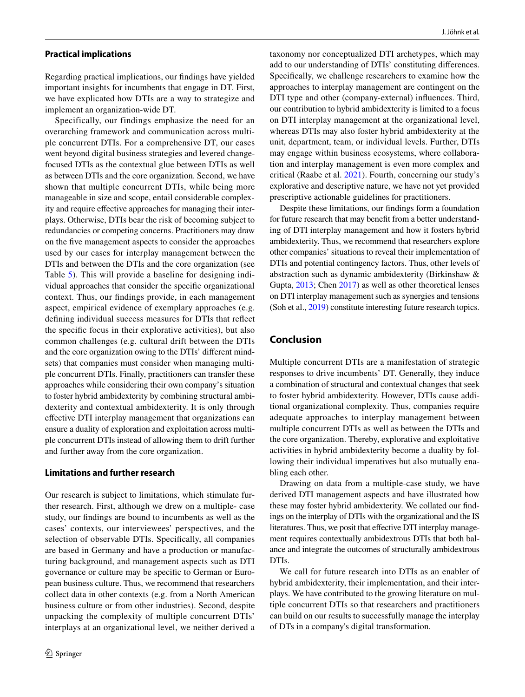#### **Practical implications**

Regarding practical implications, our fndings have yielded important insights for incumbents that engage in DT. First, we have explicated how DTIs are a way to strategize and implement an organization-wide DT.

Specifically, our findings emphasize the need for an overarching framework and communication across multiple concurrent DTIs. For a comprehensive DT, our cases went beyond digital business strategies and levered changefocused DTIs as the contextual glue between DTIs as well as between DTIs and the core organization. Second, we have shown that multiple concurrent DTIs, while being more manageable in size and scope, entail considerable complexity and require efective approaches for managing their interplays. Otherwise, DTIs bear the risk of becoming subject to redundancies or competing concerns. Practitioners may draw on the fve management aspects to consider the approaches used by our cases for interplay management between the DTIs and between the DTIs and the core organization (see Table [5](#page-12-0)). This will provide a baseline for designing individual approaches that consider the specifc organizational context. Thus, our fndings provide, in each management aspect, empirical evidence of exemplary approaches (e.g. defning individual success measures for DTIs that refect the specifc focus in their explorative activities), but also common challenges (e.g. cultural drift between the DTIs and the core organization owing to the DTIs' diferent mindsets) that companies must consider when managing multiple concurrent DTIs. Finally, practitioners can transfer these approaches while considering their own company's situation to foster hybrid ambidexterity by combining structural ambidexterity and contextual ambidexterity. It is only through efective DTI interplay management that organizations can ensure a duality of exploration and exploitation across multiple concurrent DTIs instead of allowing them to drift further and further away from the core organization.

#### **Limitations and further research**

Our research is subject to limitations, which stimulate further research. First, although we drew on a multiple- case study, our fndings are bound to incumbents as well as the cases' contexts, our interviewees' perspectives, and the selection of observable DTIs. Specifcally, all companies are based in Germany and have a production or manufacturing background, and management aspects such as DTI governance or culture may be specifc to German or European business culture. Thus, we recommend that researchers collect data in other contexts (e.g. from a North American business culture or from other industries). Second, despite unpacking the complexity of multiple concurrent DTIs' interplays at an organizational level, we neither derived a taxonomy nor conceptualized DTI archetypes, which may add to our understanding of DTIs' constituting diferences. Specifcally, we challenge researchers to examine how the approaches to interplay management are contingent on the DTI type and other (company-external) infuences. Third, our contribution to hybrid ambidexterity is limited to a focus on DTI interplay management at the organizational level, whereas DTIs may also foster hybrid ambidexterity at the unit, department, team, or individual levels. Further, DTIs may engage within business ecosystems, where collaboration and interplay management is even more complex and critical (Raabe et al. [2021\)](#page-21-28). Fourth, concerning our study's explorative and descriptive nature, we have not yet provided prescriptive actionable guidelines for practitioners.

Despite these limitations, our fndings form a foundation for future research that may beneft from a better understanding of DTI interplay management and how it fosters hybrid ambidexterity. Thus, we recommend that researchers explore other companies' situations to reveal their implementation of DTIs and potential contingency factors. Thus, other levels of abstraction such as dynamic ambidexterity (Birkinshaw & Gupta, [2013;](#page-19-19) Chen [2017\)](#page-19-16) as well as other theoretical lenses on DTI interplay management such as synergies and tensions (Soh et al., [2019\)](#page-21-2) constitute interesting future research topics.

### **Conclusion**

Multiple concurrent DTIs are a manifestation of strategic responses to drive incumbents' DT. Generally, they induce a combination of structural and contextual changes that seek to foster hybrid ambidexterity. However, DTIs cause additional organizational complexity. Thus, companies require adequate approaches to interplay management between multiple concurrent DTIs as well as between the DTIs and the core organization. Thereby, explorative and exploitative activities in hybrid ambidexterity become a duality by following their individual imperatives but also mutually enabling each other.

Drawing on data from a multiple-case study, we have derived DTI management aspects and have illustrated how these may foster hybrid ambidexterity. We collated our fndings on the interplay of DTIs with the organizational and the IS literatures. Thus, we posit that effective DTI interplay management requires contextually ambidextrous DTIs that both balance and integrate the outcomes of structurally ambidextrous DTIs.

We call for future research into DTIs as an enabler of hybrid ambidexterity, their implementation, and their interplays. We have contributed to the growing literature on multiple concurrent DTIs so that researchers and practitioners can build on our results to successfully manage the interplay of DTs in a company's digital transformation.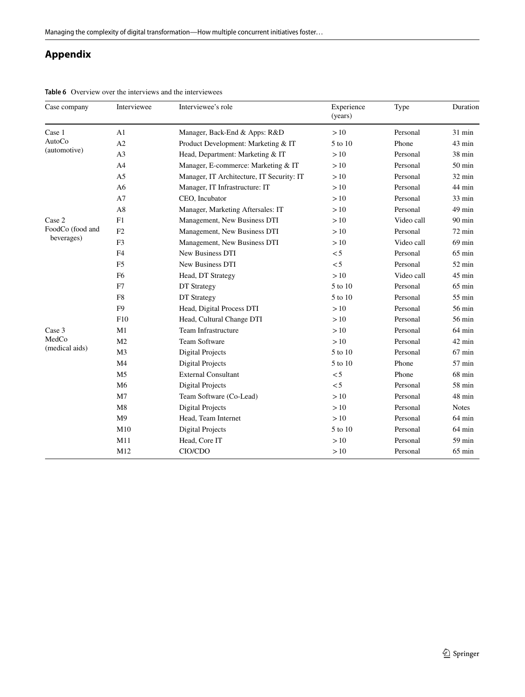# **Appendix**

| Case company                                                                                                                                                                                                                                                                                                           | Interviewee    | Interviewee's role                                                                                                                                                                                                                                                                                                          | Experience<br>(years) | Type       | Duration         |
|------------------------------------------------------------------------------------------------------------------------------------------------------------------------------------------------------------------------------------------------------------------------------------------------------------------------|----------------|-----------------------------------------------------------------------------------------------------------------------------------------------------------------------------------------------------------------------------------------------------------------------------------------------------------------------------|-----------------------|------------|------------------|
| Case 1                                                                                                                                                                                                                                                                                                                 | A1             | Manager, Back-End & Apps: R&D                                                                                                                                                                                                                                                                                               | >10                   | Personal   | $31$ min         |
| AutoCo                                                                                                                                                                                                                                                                                                                 | A2             | Product Development: Marketing & IT                                                                                                                                                                                                                                                                                         | 5 to 10               | Phone      | 43 min           |
|                                                                                                                                                                                                                                                                                                                        | A <sub>3</sub> | Head, Department: Marketing & IT                                                                                                                                                                                                                                                                                            | >10                   | Personal   | $38 \text{ min}$ |
|                                                                                                                                                                                                                                                                                                                        | A <sub>4</sub> | Manager, E-commerce: Marketing & IT                                                                                                                                                                                                                                                                                         | >10                   | Personal   | $50 \text{ min}$ |
|                                                                                                                                                                                                                                                                                                                        | A <sub>5</sub> | Manager, IT Architecture, IT Security: IT                                                                                                                                                                                                                                                                                   | >10                   | Personal   | 32 min           |
|                                                                                                                                                                                                                                                                                                                        | A <sub>6</sub> | Manager, IT Infrastructure: IT                                                                                                                                                                                                                                                                                              | >10                   | Personal   | 44 min           |
|                                                                                                                                                                                                                                                                                                                        | A7             | CEO, Incubator                                                                                                                                                                                                                                                                                                              | >10                   | Personal   | 33 min           |
|                                                                                                                                                                                                                                                                                                                        | A8             | Manager, Marketing Aftersales: IT                                                                                                                                                                                                                                                                                           | >10                   | Personal   | $49 \text{ min}$ |
| Case 2                                                                                                                                                                                                                                                                                                                 | F1             | Management, New Business DTI                                                                                                                                                                                                                                                                                                | >10                   | Video call | $90 \text{ min}$ |
| FoodCo (food and                                                                                                                                                                                                                                                                                                       | F <sub>2</sub> | Management, New Business DTI                                                                                                                                                                                                                                                                                                | >10                   | Personal   | $72 \text{ min}$ |
| (automotive)<br>beverages)<br>F <sub>3</sub><br>F <sub>4</sub><br>F <sub>5</sub><br>F <sub>6</sub><br>F7<br>F8<br>F <sub>9</sub><br>F10<br>Case 3<br>M1<br>MedCo<br>M <sub>2</sub><br>(medical aids)<br>M <sub>3</sub><br>M <sub>4</sub><br>M <sub>5</sub><br>M <sub>6</sub><br>M <sub>7</sub><br>M8<br>M <sup>9</sup> |                | Management, New Business DTI                                                                                                                                                                                                                                                                                                | >10                   | Video call | $69 \text{ min}$ |
|                                                                                                                                                                                                                                                                                                                        |                | <b>New Business DTI</b>                                                                                                                                                                                                                                                                                                     | < 5                   | Personal   | $65 \text{ min}$ |
|                                                                                                                                                                                                                                                                                                                        |                | <b>New Business DTI</b>                                                                                                                                                                                                                                                                                                     | $\lt$ 5               | Personal   | $52 \text{ min}$ |
|                                                                                                                                                                                                                                                                                                                        |                | Head, DT Strategy                                                                                                                                                                                                                                                                                                           | >10                   | Video call | $45 \text{ min}$ |
|                                                                                                                                                                                                                                                                                                                        |                | DT Strategy                                                                                                                                                                                                                                                                                                                 | 5 to 10               | Personal   | $65 \text{ min}$ |
|                                                                                                                                                                                                                                                                                                                        |                | DT Strategy                                                                                                                                                                                                                                                                                                                 | 5 to 10               | Personal   | $55 \text{ min}$ |
|                                                                                                                                                                                                                                                                                                                        |                | Head, Digital Process DTI                                                                                                                                                                                                                                                                                                   | >10                   | Personal   | 56 min           |
|                                                                                                                                                                                                                                                                                                                        |                | Head, Cultural Change DTI                                                                                                                                                                                                                                                                                                   | >10                   | Personal   | 56 min           |
|                                                                                                                                                                                                                                                                                                                        |                | Team Infrastructure                                                                                                                                                                                                                                                                                                         | >10                   | Personal   | $64 \text{ min}$ |
|                                                                                                                                                                                                                                                                                                                        |                | Team Software                                                                                                                                                                                                                                                                                                               | >10                   | Personal   | 42 min           |
|                                                                                                                                                                                                                                                                                                                        |                | Digital Projects<br>5 to 10<br>Digital Projects<br>5 to 10<br><b>External Consultant</b><br>$\lt$ 5<br>$\lt$ 5<br><b>Digital Projects</b><br>Team Software (Co-Lead)<br>>10<br>>10<br><b>Digital Projects</b><br>Head, Team Internet<br>>10<br><b>Digital Projects</b><br>5 to 10<br>Head, Core IT<br>>10<br>CIO/CDO<br>>10 | Personal              | $67$ min   |                  |
|                                                                                                                                                                                                                                                                                                                        |                |                                                                                                                                                                                                                                                                                                                             |                       | Phone      | $57 \text{ min}$ |
|                                                                                                                                                                                                                                                                                                                        |                |                                                                                                                                                                                                                                                                                                                             |                       | Phone      | 68 min           |
|                                                                                                                                                                                                                                                                                                                        |                |                                                                                                                                                                                                                                                                                                                             |                       | Personal   | 58 min           |
|                                                                                                                                                                                                                                                                                                                        |                |                                                                                                                                                                                                                                                                                                                             |                       | Personal   | 48 min           |
|                                                                                                                                                                                                                                                                                                                        |                |                                                                                                                                                                                                                                                                                                                             |                       | Personal   | <b>Notes</b>     |
|                                                                                                                                                                                                                                                                                                                        |                |                                                                                                                                                                                                                                                                                                                             |                       | Personal   | 64 min           |
|                                                                                                                                                                                                                                                                                                                        | M10            |                                                                                                                                                                                                                                                                                                                             |                       | Personal   | $64 \text{ min}$ |
|                                                                                                                                                                                                                                                                                                                        | M11            |                                                                                                                                                                                                                                                                                                                             |                       | Personal   | 59 min           |
|                                                                                                                                                                                                                                                                                                                        | M12            |                                                                                                                                                                                                                                                                                                                             |                       | Personal   | $65 \text{ min}$ |

<span id="page-16-0"></span>**Table 6** Overview over the interviews and the interviewees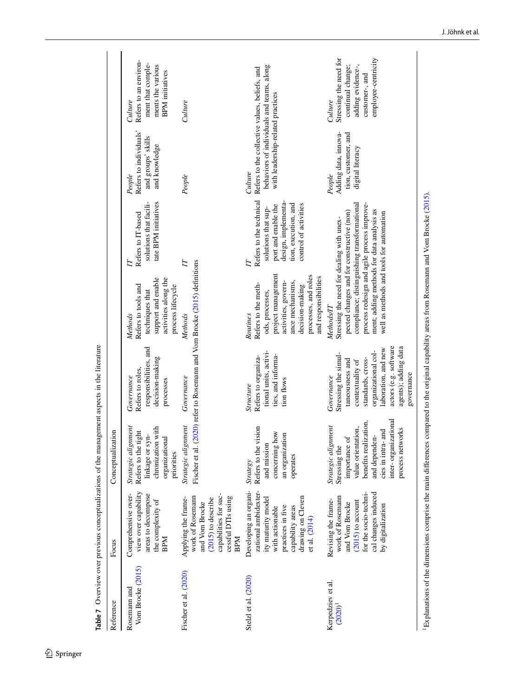| Reference                         | Focus                                                                                                                                                                 | Conceptualization                                                                                                                                                                       |                                                                                                                                                                                                             |                                                                                                                                                                                               |                                                                                                                                                    |                                                                                                                                            |                                                                                                                      |
|-----------------------------------|-----------------------------------------------------------------------------------------------------------------------------------------------------------------------|-----------------------------------------------------------------------------------------------------------------------------------------------------------------------------------------|-------------------------------------------------------------------------------------------------------------------------------------------------------------------------------------------------------------|-----------------------------------------------------------------------------------------------------------------------------------------------------------------------------------------------|----------------------------------------------------------------------------------------------------------------------------------------------------|--------------------------------------------------------------------------------------------------------------------------------------------|----------------------------------------------------------------------------------------------------------------------|
| Vom Brocke (2015)<br>Rosemann and | view over capability<br>areas to decompose<br>Comprehensive over-<br>the complexity of<br><b>BPM</b>                                                                  | Strategic alignment<br>chronization with<br>Refers to the tight<br>linkage or syn-<br>organizational<br>priorities                                                                      | responsibilities, and<br>decision-making<br>Refers to roles,<br>Governance<br>processes                                                                                                                     | support and enable<br>activities along the<br>Refers to tools and<br>process lifecycle<br>techniques that<br>Methods                                                                          | tate BPM initiatives<br>solutions that facili-<br>Refers to IT-based<br>E                                                                          | Refers to individuals'<br>and groups' skills<br>and knowledge<br>People                                                                    | Refers to an environ-<br>ment that comple-<br>ments the various<br><b>BPM</b> initiatives<br>Culture                 |
| Fischer et al. (2020)             | capabilities for suc-<br>work of Rosemann<br>cessful DTIs using<br>Applying the frame-<br>$(2015)$ to describe<br>and Vom Brocke<br><b>BPM</b>                        | Strategic alignment<br>Fischer et al                                                                                                                                                    | . (2020) refer to Rosemann and Vom Brocke (2015) definitions<br>Governance                                                                                                                                  | Methods                                                                                                                                                                                       | $\overline{\mathbb{L}}$                                                                                                                            | People                                                                                                                                     | Culture                                                                                                              |
| Stelzl et al. (2020)              | Developing an organi-<br>zational ambidexter-<br>drawing on Cleven<br>ity maturity model<br>practices in five<br>with actionable<br>capability areas<br>et al. (2014) | Refers to the vision<br>concerning how<br>an organization<br>and mission<br>operates<br><b>Strategy</b>                                                                                 | tional units, activi-<br>ties, and informa-<br>Refers to organiza-<br>tion flows<br>Structure                                                                                                               | project management<br>processes, and roles<br>and responsibilities<br>activities, govern-<br>ance mechanisms,<br>Refers to the meth-<br>decision-making<br>ods, processes,<br>Routines        | Refers to the technical<br>design, implementa-<br>tion, execution, and<br>control of activities<br>port and enable the<br>solutions that sup-<br>E | behaviors of individuals and teams, along<br>Refers to the collective values, beliefs, and<br>with leadership-related practices<br>Culture |                                                                                                                      |
| Kerpedziev et al.<br>$(2020)^{1}$ | for the socio-techni-<br>cal changes induced<br>work of Rosemann<br>Revising the frame-<br>$(2015)$ to account<br>and Vom Brocke<br>by digitalization                 | inter-organizational<br>benefits realization,<br>Strategic alignment<br>value orientation,<br>process networks<br>cies in intra- and<br>and dependen-<br>importance of<br>Stressing the | actors (e.g. software<br>agents); adding data<br>laboration, and new<br>organizational col-<br>Stressing the simul-<br>standards, cross-<br>taneousness and<br>contextuality of<br>governance<br>Governance | ment; adding methods for data analysis as<br>pected changes and for constructive (non)<br>well as methods and tools for automation<br>Stressing the need for dealing with unex-<br>Methods/IT | process redesign and agile process improve-<br>compliance; distinguishing transformational                                                         | Adding data, innova-<br>tion, customer, and<br>digital literacy<br>People                                                                  | Stressing the need for<br>employee-centricity<br>continual change;<br>adding evidence-,<br>customer-, and<br>Culture |
|                                   | <sup>1</sup> Explanations of the dimensions comprise the main differences compared to the original capability areas from Rosemann and Vom Brocke (2015).              |                                                                                                                                                                                         |                                                                                                                                                                                                             |                                                                                                                                                                                               |                                                                                                                                                    |                                                                                                                                            |                                                                                                                      |

<span id="page-17-0"></span>Table 7 Overview over previous conceptualizations of the management aspects in the literature **Table 7** Overview over previous conceptualizations of the management aspects in the literature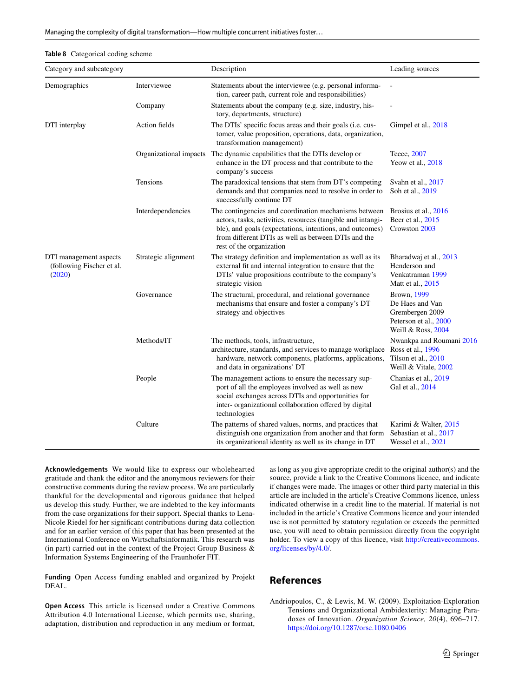<span id="page-18-1"></span>

| <b>Table 8</b> Categorical coding scheme |  |
|------------------------------------------|--|
|------------------------------------------|--|

| Category and subcategory                                      |                     | Description                                                                                                                                                                                                                                                         | Leading sources                                                                                  |
|---------------------------------------------------------------|---------------------|---------------------------------------------------------------------------------------------------------------------------------------------------------------------------------------------------------------------------------------------------------------------|--------------------------------------------------------------------------------------------------|
| Demographics                                                  | Interviewee         | Statements about the interviewee (e.g. personal informa-<br>tion, career path, current role and responsibilities)                                                                                                                                                   |                                                                                                  |
|                                                               | Company             | Statements about the company (e.g. size, industry, his-<br>tory, departments, structure)                                                                                                                                                                            |                                                                                                  |
| DTI interplay                                                 | Action fields       | The DTIs' specific focus areas and their goals (i.e. cus-<br>tomer, value proposition, operations, data, organization,<br>transformation management)                                                                                                                | Gimpel et al., 2018                                                                              |
|                                                               |                     | Organizational impacts The dynamic capabilities that the DTIs develop or<br>enhance in the DT process and that contribute to the<br>company's success                                                                                                               | Teece, 2007<br>Yeow et al., 2018                                                                 |
|                                                               | Tensions            | The paradoxical tensions that stem from DT's competing<br>demands and that companies need to resolve in order to<br>successfully continue DT                                                                                                                        | Svahn et al., 2017<br>Soh et al., 2019                                                           |
|                                                               | Interdependencies   | The contingencies and coordination mechanisms between<br>actors, tasks, activities, resources (tangible and intangi-<br>ble), and goals (expectations, intentions, and outcomes)<br>from different DTIs as well as between DTIs and the<br>rest of the organization | Brosius et al., 2016<br>Beer et al., 2015<br>Crowston 2003                                       |
| DTI management aspects<br>(following Fischer et al.<br>(2020) | Strategic alignment | The strategy definition and implementation as well as its<br>external fit and internal integration to ensure that the<br>DTIs' value propositions contribute to the company's<br>strategic vision                                                                   | Bharadwaj et al., 2013<br>Henderson and<br>Venkatraman 1999<br>Matt et al., 2015                 |
|                                                               | Governance          | The structural, procedural, and relational governance<br>mechanisms that ensure and foster a company's DT<br>strategy and objectives                                                                                                                                | Brown, 1999<br>De Haes and Van<br>Grembergen 2009<br>Peterson et al., 2000<br>Weill & Ross, 2004 |
|                                                               | Methods/IT          | The methods, tools, infrastructure,<br>architecture, standards, and services to manage workplace<br>hardware, network components, platforms, applications,<br>and data in organizations' DT                                                                         | Nwankpa and Roumani 2016<br>Ross et al., 1996<br>Tilson et al., 2010<br>Weill & Vitale, 2002     |
|                                                               | People              | The management actions to ensure the necessary sup-<br>port of all the employees involved as well as new<br>social exchanges across DTIs and opportunities for<br>inter- organizational collaboration offered by digital<br>technologies                            | Chanias et al., 2019<br>Gal et al., 2014                                                         |
|                                                               | Culture             | The patterns of shared values, norms, and practices that<br>distinguish one organization from another and that form<br>its organizational identity as well as its change in DT                                                                                      | Karimi & Walter, 2015<br>Sebastian et al., 2017<br>Wessel et al., 2021                           |

**Acknowledgements** We would like to express our wholehearted gratitude and thank the editor and the anonymous reviewers for their constructive comments during the review process. We are particularly thankful for the developmental and rigorous guidance that helped us develop this study. Further, we are indebted to the key informants from the case organizations for their support. Special thanks to Lena-Nicole Riedel for her signifcant contributions during data collection and for an earlier version of this paper that has been presented at the International Conference on Wirtschaftsinformatik. This research was (in part) carried out in the context of the Project Group Business  $\&$ Information Systems Engineering of the Fraunhofer FIT.

**Funding** Open Access funding enabled and organized by Projekt DEAL.

**Open Access** This article is licensed under a Creative Commons Attribution 4.0 International License, which permits use, sharing, adaptation, distribution and reproduction in any medium or format, as long as you give appropriate credit to the original author(s) and the source, provide a link to the Creative Commons licence, and indicate if changes were made. The images or other third party material in this article are included in the article's Creative Commons licence, unless indicated otherwise in a credit line to the material. If material is not included in the article's Creative Commons licence and your intended use is not permitted by statutory regulation or exceeds the permitted use, you will need to obtain permission directly from the copyright holder. To view a copy of this licence, visit [http://creativecommons.](http://creativecommons.org/licenses/by/4.0/) [org/licenses/by/4.0/](http://creativecommons.org/licenses/by/4.0/).

### **References**

<span id="page-18-0"></span>Andriopoulos, C., & Lewis, M. W. (2009). Exploitation-Exploration Tensions and Organizational Ambidexterity: Managing Paradoxes of Innovation. *Organization Science, 20*(4), 696–717. <https://doi.org/10.1287/orsc.1080.0406>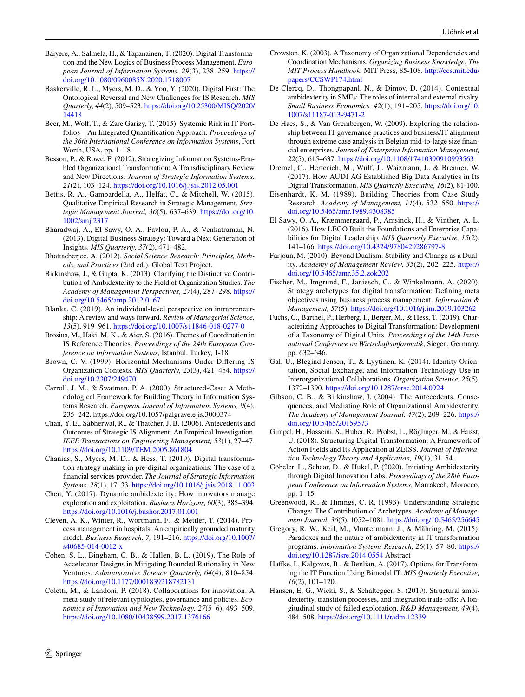- <span id="page-19-15"></span>Baiyere, A., Salmela, H., & Tapanainen, T. (2020). Digital Transformation and the New Logics of Business Process Management. *European Journal of Information Systems, 29*(3), 238–259. [https://](https://doi.org/10.1080/0960085X.2020.1718007) [doi.org/10.1080/0960085X.2020.1718007](https://doi.org/10.1080/0960085X.2020.1718007)
- <span id="page-19-27"></span>Baskerville, R. L., Myers, M. D., & Yoo, Y. (2020). Digital First: The Ontological Reversal and New Challenges for IS Research. *MIS Quarterly, 44*(2), 509–523. [https://doi.org/10.25300/MISQ/2020/](https://doi.org/10.25300/MISQ/2020/14418) [14418](https://doi.org/10.25300/MISQ/2020/14418)
- <span id="page-19-26"></span>Beer, M., Wolf, T., & Zare Garizy, T. (2015). Systemic Risk in IT Portfolios – An Integrated Quantifcation Approach. *Proceedings of the 36th International Conference on Information Systems*, Fort Worth, USA, pp. 1–18
- <span id="page-19-8"></span>Besson, P., & Rowe, F. (2012). Strategizing Information Systems-Enabled Organizational Transformation: A Transdisciplinary Review and New Directions. *Journal of Strategic Information Systems, 21*(2), 103–124. <https://doi.org/10.1016/j.jsis.2012.05.001>
- <span id="page-19-22"></span>Bettis, R. A., Gambardella, A., Helfat, C., & Mitchell, W. (2015). Qualitative Empirical Research in Strategic Management. *Strategic Management Journal, 36*(5), 637–639. [https://doi.org/10.](https://doi.org/10.1002/smj.2317) [1002/smj.2317](https://doi.org/10.1002/smj.2317)
- <span id="page-19-6"></span>Bharadwaj, A., El Sawy, O. A., Pavlou, P. A., & Venkatraman, N. (2013). Digital Business Strategy: Toward a Next Generation of Insights. *MIS Quarterly, 37*(2), 471–482.
- <span id="page-19-24"></span>Bhattacherjee, A. (2012). *Social Science Research: Principles, Methods, and Practices* (2nd ed.). Global Text Project.
- <span id="page-19-19"></span>Birkinshaw, J., & Gupta, K. (2013). Clarifying the Distinctive Contribution of Ambidexterity to the Field of Organization Studies. *The Academy of Management Perspectives, 27*(4), 287–298. [https://](https://doi.org/10.5465/amp.2012.0167) [doi.org/10.5465/amp.2012.0167](https://doi.org/10.5465/amp.2012.0167)
- <span id="page-19-9"></span>Blanka, C. (2019). An individual-level perspective on intrapreneurship: A review and ways forward. *Review of Managerial Science, 13*(5), 919–961. <https://doi.org/10.1007/s11846-018-0277-0>
- <span id="page-19-31"></span>Brosius, M., Haki, M. K., & Aier, S. (2016). Themes of Coordination in IS Reference Theories. *Proceedings of the 24th European Conference on Information Systems*, Istanbul, Turkey, 1-18
- <span id="page-19-33"></span>Brown, C. V. (1999). Horizontal Mechanisms Under Difering IS Organization Contexts. *MIS Quarterly, 23*(3), 421–454. [https://](https://doi.org/10.2307/249470) [doi.org/10.2307/249470](https://doi.org/10.2307/249470)
- <span id="page-19-25"></span>Carroll, J. M., & Swatman, P. A. (2000). Structured-Case: A Methodological Framework for Building Theory in Information Systems Research. *European Journal of Information Systems, 9*(4), 235–242. https://doi.org/10.1057/palgrave.ejis.3000374
- <span id="page-19-18"></span>Chan, Y. E., Sabherwal, R., & Thatcher, J. B. (2006). Antecedents and Outcomes of Strategic IS Alignment: An Empirical Investigation. *IEEE Transactions on Engineering Management, 53*(1), 27–47. <https://doi.org/10.1109/TEM.2005.861804>
- <span id="page-19-0"></span>Chanias, S., Myers, M. D., & Hess, T. (2019). Digital transformation strategy making in pre-digital organizations: The case of a fnancial services provider. *The Journal of Strategic Information Systems, 28*(1), 17–33. <https://doi.org/10.1016/j.jsis.2018.11.003>
- <span id="page-19-16"></span>Chen, Y. (2017). Dynamic ambidexterity: How innovators manage exploration and exploitation. *Business Horizons, 60*(3), 385–394. <https://doi.org/10.1016/j.bushor.2017.01.001>
- <span id="page-19-29"></span>Cleven, A. K., Winter, R., Wortmann, F., & Mettler, T. (2014). Process management in hospitals: An empirically grounded maturity model. *Business Research, 7,* 191–216. [https://doi.org/10.1007/](https://doi.org/10.1007/s40685-014-0012-x) [s40685-014-0012-x](https://doi.org/10.1007/s40685-014-0012-x)
- <span id="page-19-10"></span>Cohen, S. L., Bingham, C. B., & Hallen, B. L. (2019). The Role of Accelerator Designs in Mitigating Bounded Rationality in New Ventures. *Administrative Science Quarterly, 64*(4), 810–854. <https://doi.org/10.1177/0001839218782131>
- <span id="page-19-11"></span>Coletti, M., & Landoni, P. (2018). Collaborations for innovation: A meta-study of relevant typologies, governance and policies. *Economics of Innovation and New Technology, 27*(5–6), 493–509. <https://doi.org/10.1080/10438599.2017.1376166>
- <span id="page-19-32"></span>Crowston, K. (2003). A Taxonomy of Organizational Dependencies and Coordination Mechanisms. *Organizing Business Knowledge: The MIT Process Handbook*, MIT Press, 85-108. [http://ccs.mit.edu/](http://ccs.mit.edu/papers/CCSWP174.html) [papers/CCSWP174.html](http://ccs.mit.edu/papers/CCSWP174.html)
- <span id="page-19-21"></span>De Clercq, D., Thongpapanl, N., & Dimov, D. (2014). Contextual ambidexterity in SMEs: The roles of internal and external rivalry. *Small Business Economics, 42*(1), 191–205. [https://doi.org/10.](https://doi.org/10.1007/s11187-013-9471-2) [1007/s11187-013-9471-2](https://doi.org/10.1007/s11187-013-9471-2)
- <span id="page-19-17"></span>De Haes, S., & Van Grembergen, W. (2009). Exploring the relationship between IT governance practices and business/IT alignment through extreme case analysis in Belgian mid-to-large size fnancial enterprises. *Journal of Enterprise Information Management, 22*(5), 615–637. <https://doi.org/10.1108/17410390910993563>
- <span id="page-19-13"></span>Dremel, C., Herterich, M., Wulf, J., Waizmann, J., & Brenner, W. (2017). How AUDI AG Established Big Data Analytics in Its Digital Transformation. *MIS Quarterly Executive, 16*(2), 81-100.
- <span id="page-19-23"></span>Eisenhardt, K. M. (1989). Building Theories from Case Study Research. *Academy of Management, 14*(4), 532–550. [https://](https://doi.org/10.5465/amr.1989.4308385) [doi.org/10.5465/amr.1989.4308385](https://doi.org/10.5465/amr.1989.4308385)
- <span id="page-19-14"></span>El Sawy, O. A., Kræmmergaard, P., Amsinck, H., & Vinther, A. L. (2016). How LEGO Built the Foundations and Enterprise Capabilities for Digital Leadership. *MIS Quarterly Executive, 15*(2), 141–166.<https://doi.org/10.4324/9780429286797-8>
- <span id="page-19-2"></span>Farjoun, M. (2010). Beyond Dualism: Stability and Change as a Duality. *Academy of Management Review, 35*(2), 202–225. [https://](https://doi.org/10.5465/amr.35.2.zok202) [doi.org/10.5465/amr.35.2.zok202](https://doi.org/10.5465/amr.35.2.zok202)
- <span id="page-19-5"></span>Fischer, M., Imgrund, F., Janiesch, C., & Winkelmann, A. (2020). Strategy archetypes for digital transformation: Defning meta objectives using business process management. *Information & Management, 57*(5).<https://doi.org/10.1016/j.im.2019.103262>
- <span id="page-19-28"></span>Fuchs, C., Barthel, P., Herberg, I., Berger, M., & Hess, T. (2019). Characterizing Approaches to Digital Transformation: Development of a Taxonomy of Digital Units. *Proceedings of the 14th International Conference on Wirtschaftsinformatik*, Siegen, Germany, pp. 632–646.
- <span id="page-19-34"></span>Gal, U., Blegind Jensen, T., & Lyytinen, K. (2014). Identity Orientation, Social Exchange, and Information Technology Use in Interorganizational Collaborations. *Organization Science, 25*(5), 1372–1390. <https://doi.org/10.1287/orsc.2014.0924>
- <span id="page-19-20"></span>Gibson, C. B., & Birkinshaw, J. (2004). The Antecedents, Consequences, and Mediating Role of Organizational Ambidexterity. *The Academy of Management Journal, 47*(2), 209–226. [https://](https://doi.org/10.5465/20159573) [doi.org/10.5465/20159573](https://doi.org/10.5465/20159573)
- <span id="page-19-30"></span>Gimpel, H., Hosseini, S., Huber, R., Probst, L., Röglinger, M., & Faisst, U. (2018). Structuring Digital Transformation: A Framework of Action Fields and Its Application at ZEISS. *Journal of Information Technology Theory and Application, 19*(1), 31–54.
- <span id="page-19-4"></span>Göbeler, L., Schaar, D., & Hukal, P. (2020). Initiating Ambidexterity through Digital Innovation Labs. *Proceedings of the 28th European Conference on Information Systems*, Marrakech, Morocco, pp. 1–15.
- <span id="page-19-7"></span>Greenwood, R., & Hinings, C. R. (1993). Understanding Strategic Change: The Contribution of Archetypes. *Academy of Management Journal, 36*(5), 1052–1081. <https://doi.org/10.5465/256645>
- <span id="page-19-1"></span>Gregory, R. W., Keil, M., Muntermann, J., & Mähring, M. (2015). Paradoxes and the nature of ambidexterity in IT transformation programs. *Information Systems Research, 26*(1), 57–80. [https://](https://doi.org/10.1287/isre.2014.0554) [doi.org/10.1287/isre.2014.0554](https://doi.org/10.1287/isre.2014.0554) Abstract
- <span id="page-19-3"></span>Hafke, I., Kalgovas, B., & Benlian, A. (2017). Options for Transforming the IT Function Using Bimodal IT. *MIS Quarterly Executive, 16*(2), 101–120.
- <span id="page-19-12"></span>Hansen, E. G., Wicki, S., & Schaltegger, S. (2019). Structural ambidexterity, transition processes, and integration trade-ofs: A longitudinal study of failed exploration. *R&D Management, 49*(4), 484–508.<https://doi.org/10.1111/radm.12339>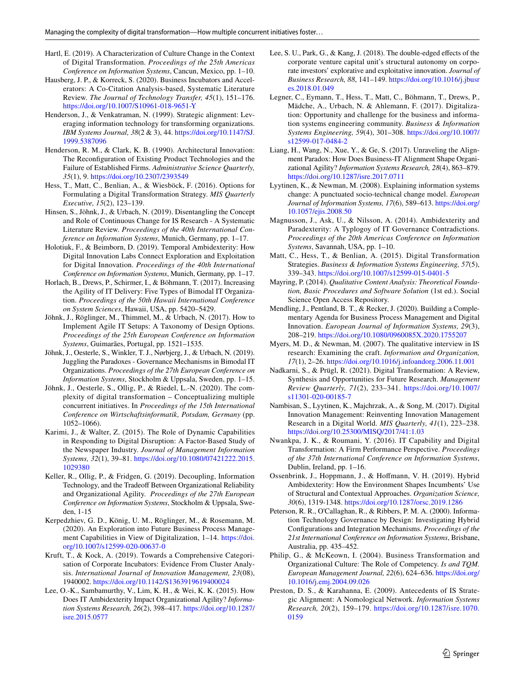- <span id="page-20-4"></span>Hartl, E. (2019). A Characterization of Culture Change in the Context of Digital Transformation. *Proceedings of the 25th Americas Conference on Information Systems*, Cancun, Mexico, pp. 1–10.
- <span id="page-20-16"></span>Hausberg, J. P., & Korreck, S. (2020). Business Incubators and Accelerators: A Co-Citation Analysis-based, Systematic Literature Review. *The Journal of Technology Transfer, 45*(1), 151–176. <https://doi.org/10.1007/S10961-018-9651-Y>
- <span id="page-20-13"></span>Henderson, J., & Venkatraman, N. (1999). Strategic alignment: Leveraging information technology for transforming organizations. *IBM Systems Journal, 38*(2 & 3), 44. [https://doi.org/10.1147/SJ.](https://doi.org/10.1147/SJ.1999.5387096) [1999.5387096](https://doi.org/10.1147/SJ.1999.5387096)
- <span id="page-20-12"></span>Henderson, R. M., & Clark, K. B. (1990). Architectural Innovation: The Reconfguration of Existing Product Technologies and the Failure of Established Firms. *Administrative Science Quarterly, 35*(1), 9. <https://doi.org/10.2307/2393549>
- <span id="page-20-15"></span>Hess, T., Matt, C., Benlian, A., & Wiesböck, F. (2016). Options for Formulating a Digital Transformation Strategy. *MIS Quarterly Executive, 15*(2), 123–139.
- <span id="page-20-11"></span>Hinsen, S., Jöhnk, J., & Urbach, N. (2019). Disentangling the Concept and Role of Continuous Change for IS Research - A Systematic Literature Review. *Proceedings of the 40th International Conference on Information Systems*, Munich, Germany, pp. 1–17.
- <span id="page-20-1"></span>Holotiuk, F., & Beimborn, D. (2019). Temporal Ambidexterity: How Digital Innovation Labs Connect Exploration and Exploitation for Digital Innovation. *Proceedings of the 40th International Conference on Information Systems*, Munich, Germany, pp. 1–17.
- <span id="page-20-20"></span>Horlach, B., Drews, P., Schirmer, I., & Böhmann, T. (2017). Increasing the Agility of IT Delivery: Five Types of Bimodal IT Organization. *Proceedings of the 50th Hawaii International Conference on System Sciences*, Hawaii, USA, pp. 5420–5429.
- <span id="page-20-2"></span>Jöhnk, J., Röglinger, M., Thimmel, M., & Urbach, N. (2017). How to Implement Agile IT Setups: A Taxonomy of Design Options. *Proceedings of the 25th European Conference on Information Systems*, Guimarães, Portugal, pp. 1521–1535.
- <span id="page-20-9"></span>Jöhnk, J., Oesterle, S., Winkler, T. J., Nørbjerg, J., & Urbach, N. (2019). Juggling the Paradoxes - Governance Mechanisms in Bimodal IT Organizations. *Proceedings of the 27th European Conference on Information Systems*, Stockholm & Uppsala, Sweden, pp. 1–15.
- <span id="page-20-7"></span>Jöhnk, J., Oesterle, S., Ollig, P., & Riedel, L.-N. (2020). The complexity of digital transformation – Conceptualizing multiple concurrent initiatives. In *Proceedings of the 15th International Conference on Wirtschaftsinformatik, Potsdam, Germany* (pp. 1052–1066).
- <span id="page-20-22"></span>Karimi, J., & Walter, Z. (2015). The Role of Dynamic Capabilities in Responding to Digital Disruption: A Factor-Based Study of the Newspaper Industry. *Journal of Management Information Systems, 32*(1), 39–81. [https://doi.org/10.1080/07421222.2015.](https://doi.org/10.1080/07421222.2015.1029380) [1029380](https://doi.org/10.1080/07421222.2015.1029380)
- <span id="page-20-21"></span>Keller, R., Ollig, P., & Fridgen, G. (2019). Decoupling, Information Technology, and the Tradeoff Between Organizational Reliability and Organizational Agility. *Proceedings of the 27th European Conference on Information Systems*, Stockholm & Uppsala, Sweden, 1-15
- <span id="page-20-10"></span>Kerpedzhiev, G. D., König, U. M., Röglinger, M., & Rosemann, M. (2020). An Exploration into Future Business Process Management Capabilities in View of Digitalization, 1-14. [https://doi.](https://doi.org/10.1007/s12599-020-00637-0) [org/10.1007/s12599-020-00637-0](https://doi.org/10.1007/s12599-020-00637-0)
- <span id="page-20-3"></span>Kruft, T., & Kock, A. (2019). Towards a Comprehensive Categorisation of Corporate Incubators: Evidence From Cluster Analysis. *International Journal of Innovation Management, 23*(08), 1940002. <https://doi.org/10.1142/S1363919619400024>
- <span id="page-20-26"></span>Lee, O.-K., Sambamurthy, V., Lim, K. H., & Wei, K. K. (2015). How Does IT Ambidexterity Impact Organizational Agility? *Information Systems Research, 26*(2), 398–417. [https://doi.org/10.1287/](https://doi.org/10.1287/isre.2015.0577) [isre.2015.0577](https://doi.org/10.1287/isre.2015.0577)
- <span id="page-20-17"></span>Lee, S. U., Park, G., & Kang, J. (2018). The double-edged effects of the corporate venture capital unit's structural autonomy on corporate investors' explorative and exploitative innovation. *Journal of Business Research, 88*, 141–149. [https://doi.org/10.1016/j.jbusr](https://doi.org/10.1016/j.jbusres.2018.01.049) [es.2018.01.049](https://doi.org/10.1016/j.jbusres.2018.01.049)
- <span id="page-20-0"></span>Legner, C., Eymann, T., Hess, T., Matt, C., Böhmann, T., Drews, P., Mädche, A., Urbach, N. & Ahlemann, F. (2017). Digitalization: Opportunity and challenge for the business and information systems engineering community. *Business & Information Systems Engineering, 59*(4), 301–308. [https://doi.org/10.1007/](https://doi.org/10.1007/s12599-017-0484-2) [s12599-017-0484-2](https://doi.org/10.1007/s12599-017-0484-2)
- <span id="page-20-24"></span>Liang, H., Wang, N., Xue, Y., & Ge, S. (2017). Unraveling the Alignment Paradox: How Does Business-IT Alignment Shape Organizational Agility? *Information Systems Research, 28*(4), 863–879. <https://doi.org/10.1287/isre.2017.0711>
- <span id="page-20-14"></span>Lyytinen, K., & Newman, M. (2008). Explaining information systems change: A punctuated socio-technical change model. *European Journal of Information Systems, 17*(6), 589–613. [https://doi.org/](https://doi.org/10.1057/ejis.2008.50) [10.1057/ejis.2008.50](https://doi.org/10.1057/ejis.2008.50)
- <span id="page-20-27"></span>Magnusson, J., Ask, U., & Nilsson, A. (2014). Ambidexterity and Paradexterity: A Typlogoy of IT Governance Contradictions. *Proceedings of the 20th Americas Conference on Information Systems*, Savannah, USA, pp. 1–10.
- <span id="page-20-18"></span>Matt, C., Hess, T., & Benlian, A. (2015). Digital Transformation Strategies. *Business & Information Systems Engineering, 57*(5), 339–343. <https://doi.org/10.1007/s12599-015-0401-5>
- <span id="page-20-29"></span>Mayring, P. (2014). *Qualitative Content Analysis: Theoretical Foundation, Basic Procedures and Software Solution* (1st ed.). Social Science Open Access Repository.
- <span id="page-20-19"></span>Mendling, J., Pentland, B. T., & Recker, J. (2020). Building a Complementary Agenda for Business Process Management and Digital Innovation. *European Journal of Information Systems, 29*(3), 208–219. <https://doi.org/10.1080/0960085X.2020.1755207>
- <span id="page-20-28"></span>Myers, M. D., & Newman, M. (2007). The qualitative interview in IS research: Examining the craft. *Information and Organization, 17*(1), 2–26. <https://doi.org/10.1016/j.infoandorg.2006.11.001>
- <span id="page-20-8"></span>Nadkarni, S., & Prügl, R. (2021). Digital Transformation: A Review, Synthesis and Opportunities for Future Research. *Management Review Quarterly, 71*(2), 233–341. [https://doi.org/10.1007/](https://doi.org/10.1007/s11301-020-00185-7) [s11301-020-00185-7](https://doi.org/10.1007/s11301-020-00185-7)
- <span id="page-20-5"></span>Nambisan, S., Lyytinen, K., Majchrzak, A., & Song, M. (2017). Digital Innovation Management: Reinventing Innovation Management Research in a Digital World. *MIS Quarterly, 41*(1), 223–238. <https://doi.org/10.25300/MISQ/2017/41:1.03>
- <span id="page-20-31"></span>Nwankpa, J. K., & Roumani, Y. (2016). IT Capability and Digital Transformation: A Firm Performance Perspective. *Proceedings of the 37th International Conference on Information Systems*, Dublin, Ireland, pp. 1–16.
- <span id="page-20-6"></span>Ossenbrink, J., Hoppmann, J., & Hofmann, V. H. (2019). Hybrid Ambidexterity: How the Environment Shapes Incumbents' Use of Structural and Contextual Approaches. *Organization Science, 30*(6), 1319-1348.<https://doi.org/10.1287/orsc.2019.1286>
- <span id="page-20-30"></span>Peterson, R. R., O'Callaghan, R., & Ribbers, P. M. A. (2000). Information Technology Governance by Design: Investigating Hybrid Confgurations and Integration Mechanisms. *Proceedings of the 21st International Conference on Information Systems*, Brisbane, Australia, pp. 435–452.
- <span id="page-20-23"></span>Philip, G., & McKeown, I. (2004). Business Transformation and Organizational Culture: The Role of Competency. *Is and TQM. European Management Journal, 22*(6), 624–636. [https://doi.org/](https://doi.org/10.1016/j.emj.2004.09.026) [10.1016/j.emj.2004.09.026](https://doi.org/10.1016/j.emj.2004.09.026)
- <span id="page-20-25"></span>Preston, D. S., & Karahanna, E. (2009). Antecedents of IS Strategic Alignment: A Nomological Network. *Information Systems Research, 20*(2), 159–179. [https://doi.org/10.1287/isre.1070.](https://doi.org/10.1287/isre.1070.0159) [0159](https://doi.org/10.1287/isre.1070.0159)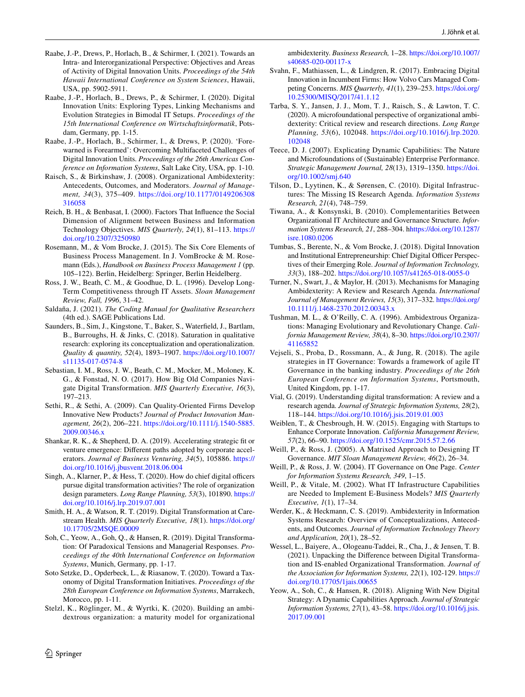- <span id="page-21-28"></span>Raabe, J.-P., Drews, P., Horlach, B., & Schirmer, I. (2021). Towards an Intra- and Interorganizational Perspective: Objectives and Areas of Activity of Digital Innovation Units. *Proceedings of the 54th Hawaii International Conference on System Sciences*, Hawaii, USA, pp. 5902-5911.
- <span id="page-21-6"></span>Raabe, J.-P., Horlach, B., Drews, P., & Schirmer, I. (2020). Digital Innovation Units: Exploring Types, Linking Mechanisms and Evolution Strategies in Bimodal IT Setups. *Proceedings of the 15th International Conference on Wirtschaftsinformatik*, Potsdam, Germany, pp. 1-15.
- <span id="page-21-7"></span>Raabe, J.-P., Horlach, B., Schirmer, I., & Drews, P. (2020). 'Forewarned is Forearmed': Overcoming Multifaceted Challenges of Digital Innovation Units. *Proceedings of the 26th Americas Conference on Information Systems*, Salt Lake City, USA, pp. 1-10.
- <span id="page-21-24"></span>Raisch, S., & Birkinshaw, J. (2008). Organizational Ambidexterity: Antecedents, Outcomes, and Moderators. *Journal of Management, 34*(3), 375–409. [https://doi.org/10.1177/0149206308](https://doi.org/10.1177/0149206308316058) [316058](https://doi.org/10.1177/0149206308316058)
- <span id="page-21-22"></span>Reich, B. H., & Benbasat, I. (2000). Factors That Infuence the Social Dimension of Alignment between Business and Information Technology Objectives. *MIS Quarterly, 24*(1), 81–113. [https://](https://doi.org/10.2307/3250980) [doi.org/10.2307/3250980](https://doi.org/10.2307/3250980)
- <span id="page-21-16"></span>Rosemann, M., & Vom Brocke, J. (2015). The Six Core Elements of Business Process Management. In J. VomBrocke & M. Rosemann (Eds.), *Handbook on Business Process Management 1* (pp. 105–122). Berlin, Heidelberg: Springer, Berlin Heidelberg.
- <span id="page-21-32"></span>Ross, J. W., Beath, C. M., & Goodhue, D. L. (1996). Develop Long-Term Competitiveness through IT Assets. *Sloan Management Review, Fall, 1996*, 31–42.
- <span id="page-21-27"></span>Saldaña, J. (2021). *The Coding Manual for Qualitative Researchers*  (4th ed.). SAGE Publications Ltd.
- <span id="page-21-26"></span>Saunders, B., Sim, J., Kingstone, T., Baker, S., Waterfeld, J., Bartlam, B., Burroughs, H. & Jinks, C. (2018). Saturation in qualitative research: exploring its conceptualization and operationalization. *Quality & quantity, 52*(4), 1893–1907. [https://doi.org/10.1007/](https://doi.org/10.1007/s11135-017-0574-8) [s11135-017-0574-8](https://doi.org/10.1007/s11135-017-0574-8)
- <span id="page-21-10"></span>Sebastian, I. M., Ross, J. W., Beath, C. M., Mocker, M., Moloney, K. G., & Fonstad, N. O. (2017). How Big Old Companies Navigate Digital Transformation. *MIS Quarterly Executive, 16*(3), 197–213.
- <span id="page-21-23"></span>Sethi, R., & Sethi, A. (2009). Can Quality-Oriented Firms Develop Innovative New Products? *Journal of Product Innovation Management, 26*(2), 206–221. [https://doi.org/10.1111/j.1540-5885.](https://doi.org/10.1111/j.1540-5885.2009.00346.x) [2009.00346.x](https://doi.org/10.1111/j.1540-5885.2009.00346.x)
- <span id="page-21-12"></span>Shankar, R. K., & Shepherd, D. A. (2019). Accelerating strategic ft or venture emergence: Diferent paths adopted by corporate accelerators. *Journal of Business Venturing, 34*(5), 105886. [https://](https://doi.org/10.1016/j.jbusvent.2018.06.004) [doi.org/10.1016/j.jbusvent.2018.06.004](https://doi.org/10.1016/j.jbusvent.2018.06.004)
- <span id="page-21-13"></span>Singh, A., Klarner, P., & Hess, T. (2020). How do chief digital officers pursue digital transformation activities? The role of organization design parameters. *Long Range Planning, 53*(3), 101890. [https://](https://doi.org/10.1016/j.lrp.2019.07.001) [doi.org/10.1016/j.lrp.2019.07.001](https://doi.org/10.1016/j.lrp.2019.07.001)
- <span id="page-21-15"></span>Smith, H. A., & Watson, R. T. (2019). Digital Transformation at Carestream Health. *MIS Quarterly Executive, 18*(1). [https://doi.org/](https://doi.org/10.17705/2MSQE.00009) [10.17705/2MSQE.00009](https://doi.org/10.17705/2MSQE.00009)
- <span id="page-21-2"></span>Soh, C., Yeow, A., Goh, Q., & Hansen, R. (2019). Digital Transformation: Of Paradoxical Tensions and Managerial Responses. *Proceedings of the 40th International Conference on Information Systems*, Munich, Germany, pp. 1-17.
- <span id="page-21-5"></span>Soto Setzke, D., Opderbeck, L., & Riasanow, T. (2020). Toward a Taxonomy of Digital Transformation Initiatives. *Proceedings of the 28th European Conference on Information Systems*, Marrakech, Morocco, pp. 1-11.
- <span id="page-21-9"></span>Stelzl, K., Röglinger, M., & Wyrtki, K. (2020). Building an ambidextrous organization: a maturity model for organizational

ambidexterity. *Business Research,* 1–28. [https://doi.org/10.1007/](https://doi.org/10.1007/s40685-020-00117-x) [s40685-020-00117-x](https://doi.org/10.1007/s40685-020-00117-x)

- <span id="page-21-1"></span>Svahn, F., Mathiassen, L., & Lindgren, R. (2017). Embracing Digital Innovation in Incumbent Firms: How Volvo Cars Managed Competing Concerns. *MIS Quarterly, 41*(1), 239–253. [https://doi.org/](https://doi.org/10.25300/MISQ/2017/41.1.12) [10.25300/MISQ/2017/41.1.12](https://doi.org/10.25300/MISQ/2017/41.1.12)
- <span id="page-21-4"></span>Tarba, S. Y., Jansen, J. J., Mom, T. J., Raisch, S., & Lawton, T. C. (2020). A microfoundational perspective of organizational ambidexterity: Critical review and research directions. *Long Range Planning, 53*(6), 102048. [https://doi.org/10.1016/j.lrp.2020.](https://doi.org/10.1016/j.lrp.2020.102048) [102048](https://doi.org/10.1016/j.lrp.2020.102048)
- <span id="page-21-29"></span>Teece, D. J. (2007). Explicating Dynamic Capabilities: The Nature and Microfoundations of (Sustainable) Enterprise Performance. *Strategic Management Journal, 28*(13), 1319–1350. [https://doi.](https://doi.org/10.1002/smj.640) [org/10.1002/smj.640](https://doi.org/10.1002/smj.640)
- <span id="page-21-20"></span>Tilson, D., Lyytinen, K., & Sørensen, C. (2010). Digital Infrastructures: The Missing IS Research Agenda. *Information Systems Research, 21*(4), 748–759.
- <span id="page-21-18"></span>Tiwana, A., & Konsynski, B. (2010). Complementarities Between Organizational IT Architecture and Governance Structure. *Information Systems Research, 21*, 288–304. [hhttps://doi.org/10.1287/](https://doi.org/10.1287/isre.1080.0206) [isre.1080.0206](https://doi.org/10.1287/isre.1080.0206)
- <span id="page-21-21"></span>Tumbas, S., Berente, N., & Vom Brocke, J. (2018). Digital Innovation and Institutional Entrepreneurship: Chief Digital Officer Perspectives of their Emerging Role. *Journal of Information Technology, 33*(3), 188–202. <https://doi.org/10.1057/s41265-018-0055-0>
- <span id="page-21-25"></span>Turner, N., Swart, J., & Maylor, H. (2013). Mechanisms for Managing Ambidexterity: A Review and Research Agenda. *International Journal of Management Reviews, 15*(3), 317–332. [https://doi.org/](https://doi.org/10.1111/j.1468-2370.2012.00343.x) [10.1111/j.1468-2370.2012.00343.x](https://doi.org/10.1111/j.1468-2370.2012.00343.x)
- <span id="page-21-3"></span>Tushman, M. L., & O'Reilly, C. A. (1996). Ambidextrous Organizations: Managing Evolutionary and Revolutionary Change. *California Management Review, 38*(4), 8–30. [https://doi.org/10.2307/](https://doi.org/10.2307/41165852) [41165852](https://doi.org/10.2307/41165852)
- <span id="page-21-19"></span>Vejseli, S., Proba, D., Rossmann, A., & Jung, R. (2018). The agile strategies in IT Governance: Towards a framework of agile IT Governance in the banking industry. *Proceedings of the 26th European Conference on Information Systems*, Portsmouth, United Kingdom, pp. 1-17.
- <span id="page-21-0"></span>Vial, G. (2019). Understanding digital transformation: A review and a research agenda. *Journal of Strategic Information Systems, 28*(2), 118–144. <https://doi.org/10.1016/j.jsis.2019.01.003>
- <span id="page-21-14"></span>Weiblen, T., & Chesbrough, H. W. (2015). Engaging with Startups to Enhance Corporate Innovation. *California Management Review, 57*(2), 66–90.<https://doi.org/10.1525/cmr.2015.57.2.66>
- <span id="page-21-17"></span>Weill, P., & Ross, J. (2005). A Matrixed Approach to Designing IT Governance. *MIT Sloan Management Review, 46*(2), 26–34.
- <span id="page-21-31"></span>Weill, P., & Ross, J. W. (2004). IT Governance on One Page. *Center for Information Systems Research, 349*, 1–15.
- <span id="page-21-33"></span>Weill, P., & Vitale, M. (2002). What IT Infrastructure Capabilities are Needed to Implement E-Business Models? *MIS Quarterly Executive, 1*(1), 17–34.
- <span id="page-21-8"></span>Werder, K., & Heckmann, C. S. (2019). Ambidexterity in Information Systems Research: Overview of Conceptualizations, Antecedents, and Outcomes. *Journal of Information Technology Theory and Application, 20*(1), 28–52.
- <span id="page-21-11"></span>Wessel, L., Baiyere, A., Ologeanu-Taddei, R., Cha, J., & Jensen, T. B. (2021). Unpacking the Diference between Digital Transformation and IS-enabled Organizational Transformation. *Journal of the Association for Information Systems, 22*(1), 102-129. [https://](https://doi.org/10.17705/1jais.00655) [doi.org/10.17705/1jais.00655](https://doi.org/10.17705/1jais.00655)
- <span id="page-21-30"></span>Yeow, A., Soh, C., & Hansen, R. (2018). Aligning With New Digital Strategy: A Dynamic Capabilities Approach. *Journal of Strategic Information Systems, 27*(1), 43–58. [https://doi.org/10.1016/j.jsis.](https://doi.org/10.1016/j.jsis.2017.09.001) [2017.09.001](https://doi.org/10.1016/j.jsis.2017.09.001)